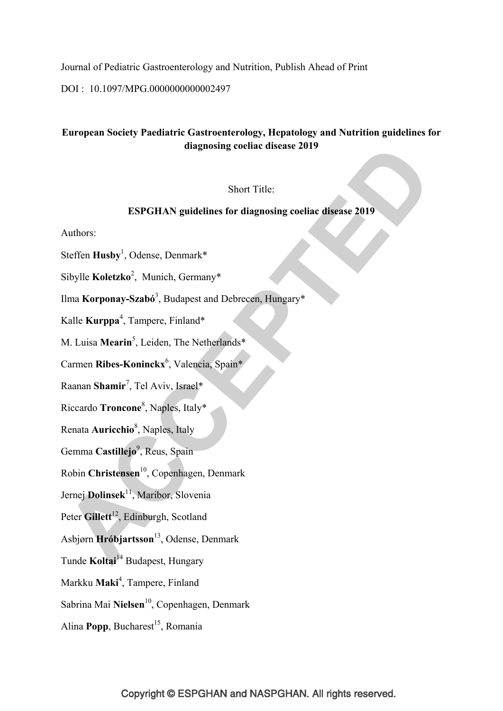Journal of Pediatric Gastroenterology and Nutrition, Publish Ahead of Print

DOI : 10.1097/MPG.0000000000002497

### **European Society Paediatric Gastroenterology, Hepatology and Nutrition guidelines for diagnosing coeliac disease 2019**

### Short Title:

### **ESPGHAN guidelines for diagnosing coeliac disease 2019**

Authors:

Steffen **Husby**<sup>1</sup> , Odense, Denmark\*

Sibylle **Koletzko**<sup>2</sup> , Munich, Germany\*

Ilma **Korponay-Szabó**<sup>3</sup> , Budapest and Debrecen, Hungary\*

Kalle **Kurppa**<sup>4</sup> , Tampere, Finland\*

M. Luisa Mearin<sup>5</sup>, Leiden, The Netherlands\*

Carmen **Ribes-Koninckx**<sup>6</sup> , Valencia, Spain\*

Raanan **Shamir**<sup>7</sup> , Tel Aviv, Israel\*

Riccardo **Troncone**<sup>8</sup> , Naples, Italy\*

Renata **Auricchio**<sup>8</sup> , Naples, Italy

Gemma Castillejo<sup>9</sup>, Reus, Spain

Robin **Christensen**10, Copenhagen, Denmark

Jernej **Dolinsek**<sup>11</sup>, Maribor, Slovenia

Peter Gillett<sup>12</sup>, Edinburgh, Scotland

Asbjørn **Hróbjartsson**13, Odense, Denmark

Tunde **Koltai**<sup>14</sup> Budapest, Hungary

Markku **Maki**<sup>4</sup> , Tampere, Finland

Sabrina Mai Nielsen<sup>10</sup>, Copenhagen, Denmark

Alina **Popp**, Bucharest<sup>15</sup>, Romania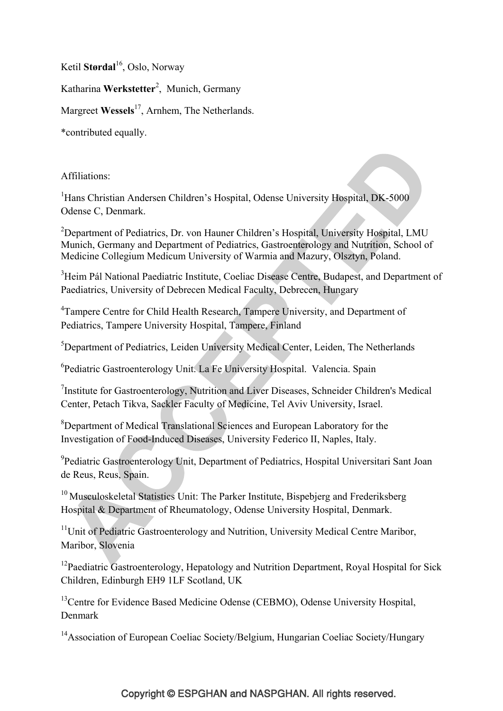Ketil **Størdal**<sup>16</sup>, Oslo, Norway

Katharina **Werkstetter**<sup>2</sup> , Munich, Germany

Margreet Wessels<sup>17</sup>, Arnhem, The Netherlands.

\*contributed equally.

Affiliations:

<sup>1</sup>Hans Christian Andersen Children's Hospital, Odense University Hospital, DK-5000 Odense C, Denmark.

<sup>2</sup>Department of Pediatrics, Dr. von Hauner Children's Hospital, University Hospital, LMU Munich, Germany and Department of Pediatrics, Gastroenterology and Nutrition, School of Medicine Collegium Medicum University of Warmia and Mazury, Olsztyn, Poland.

<sup>3</sup>Heim Pál National Paediatric Institute, Coeliac Disease Centre, Budapest, and Department of Paediatrics, University of Debrecen Medical Faculty, Debrecen, Hungary

<sup>4</sup>Tampere Centre for Child Health Research, Tampere University, and Department of Pediatrics, Tampere University Hospital, Tampere, Finland

5 Department of Pediatrics, Leiden University Medical Center, Leiden, The Netherlands

<sup>6</sup> Pediatric Gastroenterology Unit. La Fe University Hospital. Valencia. Spain

<sup>7</sup>Institute for Gastroenterology, Nutrition and Liver Diseases, Schneider Children's Medical Center, Petach Tikva, Sackler Faculty of Medicine, Tel Aviv University, Israel.

<sup>8</sup>Department of Medical Translational Sciences and European Laboratory for the Investigation of Food-Induced Diseases, University Federico II, Naples, Italy.

<sup>9</sup> Pediatric Gastroenterology Unit, Department of Pediatrics, Hospital Universitari Sant Joan de Reus, Reus, Spain.

<sup>10</sup> Musculoskeletal Statistics Unit: The Parker Institute, Bispebierg and Frederiksberg Hospital & Department of Rheumatology, Odense University Hospital, Denmark.

<sup>11</sup>Unit of Pediatric Gastroenterology and Nutrition, University Medical Centre Maribor, Maribor, Slovenia

<sup>12</sup>Paediatric Gastroenterology, Hepatology and Nutrition Department, Royal Hospital for Sick Children, Edinburgh EH9 1LF Scotland, UK

<sup>13</sup>Centre for Evidence Based Medicine Odense (CEBMO), Odense University Hospital, Denmark

<sup>14</sup>Association of European Coeliac Society/Belgium, Hungarian Coeliac Society/Hungary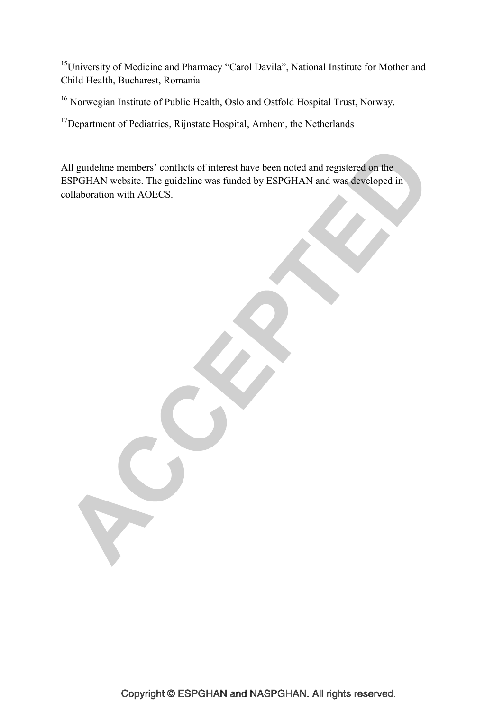<sup>15</sup>University of Medicine and Pharmacy "Carol Davila", National Institute for Mother and Child Health, Bucharest, Romania

16 Norwegian Institute of Public Health, Oslo and Ostfold Hospital Trust, Norway.

<sup>17</sup>Department of Pediatrics, Rijnstate Hospital, Arnhem, the Netherlands

All guideline members' conflicts of interest have been noted and registered on the ESPGHAN website. The guideline was funded by ESPGHAN and was developed in collaboration with AOECS.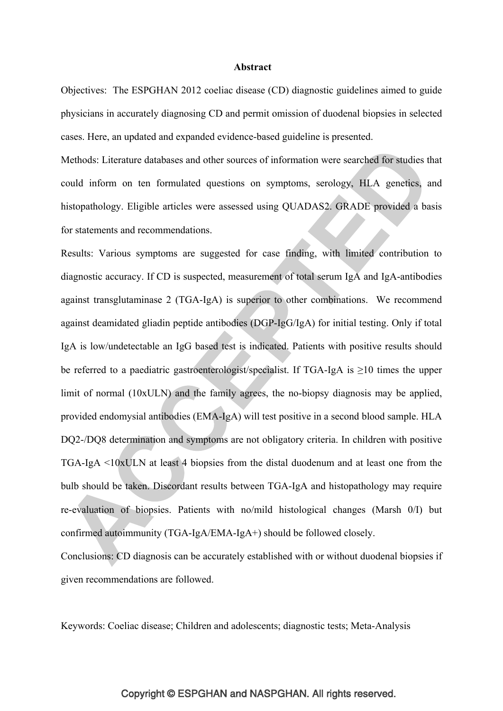### **Abstract**

Objectives: The ESPGHAN 2012 coeliac disease (CD) diagnostic guidelines aimed to guide physicians in accurately diagnosing CD and permit omission of duodenal biopsies in selected cases. Here, an updated and expanded evidence-based guideline is presented.

Methods: Literature databases and other sources of information were searched for studies that could inform on ten formulated questions on symptoms, serology, HLA genetics, and histopathology. Eligible articles were assessed using QUADAS2. GRADE provided a basis for statements and recommendations.

Results: Various symptoms are suggested for case finding, with limited contribution to diagnostic accuracy. If CD is suspected, measurement of total serum IgA and IgA-antibodies against transglutaminase 2 (TGA-IgA) is superior to other combinations. We recommend against deamidated gliadin peptide antibodies (DGP-IgG/IgA) for initial testing. Only if total IgA is low/undetectable an IgG based test is indicated. Patients with positive results should be referred to a paediatric gastroenterologist/specialist. If TGA-IgA is  $\geq$ 10 times the upper limit of normal (10xULN) and the family agrees, the no-biopsy diagnosis may be applied, provided endomysial antibodies (EMA-IgA) will test positive in a second blood sample. HLA DQ2-/DQ8 determination and symptoms are not obligatory criteria. In children with positive TGA-IgA <10xULN at least 4 biopsies from the distal duodenum and at least one from the bulb should be taken. Discordant results between TGA-IgA and histopathology may require re-evaluation of biopsies. Patients with no/mild histological changes (Marsh 0/I) but confirmed autoimmunity (TGA-IgA/EMA-IgA+) should be followed closely.

Conclusions: CD diagnosis can be accurately established with or without duodenal biopsies if given recommendations are followed.

Keywords: Coeliac disease; Children and adolescents; diagnostic tests; Meta-Analysis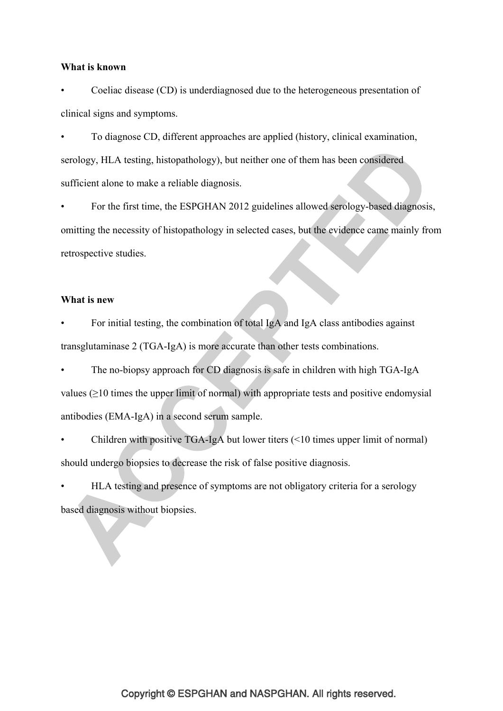### **What is known**

• Coeliac disease (CD) is underdiagnosed due to the heterogeneous presentation of clinical signs and symptoms.

• To diagnose CD, different approaches are applied (history, clinical examination, serology, HLA testing, histopathology), but neither one of them has been considered sufficient alone to make a reliable diagnosis.

• For the first time, the ESPGHAN 2012 guidelines allowed serology-based diagnosis, omitting the necessity of histopathology in selected cases, but the evidence came mainly from retrospective studies.

### **What is new**

• For initial testing, the combination of total IgA and IgA class antibodies against transglutaminase 2 (TGA-IgA) is more accurate than other tests combinations.

• The no-biopsy approach for CD diagnosis is safe in children with high TGA-IgA values (>10 times the upper limit of normal) with appropriate tests and positive endomysial antibodies (EMA-IgA) in a second serum sample.

• Children with positive TGA-IgA but lower titers (<10 times upper limit of normal) should undergo biopsies to decrease the risk of false positive diagnosis.

• HLA testing and presence of symptoms are not obligatory criteria for a serology based diagnosis without biopsies.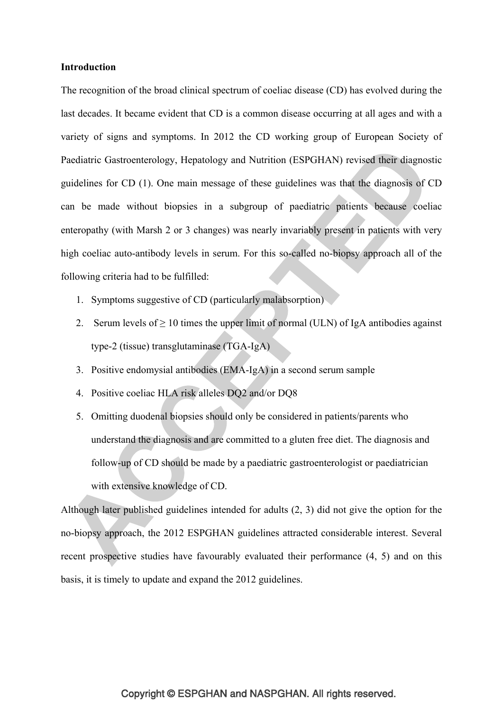### **Introduction**

The recognition of the broad clinical spectrum of coeliac disease (CD) has evolved during the last decades. It became evident that CD is a common disease occurring at all ages and with a variety of signs and symptoms. In 2012 the CD working group of European Society of Paediatric Gastroenterology, Hepatology and Nutrition (ESPGHAN) revised their diagnostic guidelines for CD (1). One main message of these guidelines was that the diagnosis of CD can be made without biopsies in a subgroup of paediatric patients because coeliac enteropathy (with Marsh 2 or 3 changes) was nearly invariably present in patients with very high coeliac auto-antibody levels in serum. For this so-called no-biopsy approach all of the following criteria had to be fulfilled:

- 1. Symptoms suggestive of CD (particularly malabsorption)
- 2. Serum levels of  $\geq 10$  times the upper limit of normal (ULN) of IgA antibodies against type-2 (tissue) transglutaminase (TGA-IgA)
- 3. Positive endomysial antibodies (EMA-IgA) in a second serum sample
- 4. Positive coeliac HLA risk alleles DQ2 and/or DQ8
- 5. Omitting duodenal biopsies should only be considered in patients/parents who understand the diagnosis and are committed to a gluten free diet. The diagnosis and follow-up of CD should be made by a paediatric gastroenterologist or paediatrician with extensive knowledge of CD.

Although later published guidelines intended for adults (2, 3) did not give the option for the no-biopsy approach, the 2012 ESPGHAN guidelines attracted considerable interest. Several recent prospective studies have favourably evaluated their performance (4, 5) and on this basis, it is timely to update and expand the 2012 guidelines.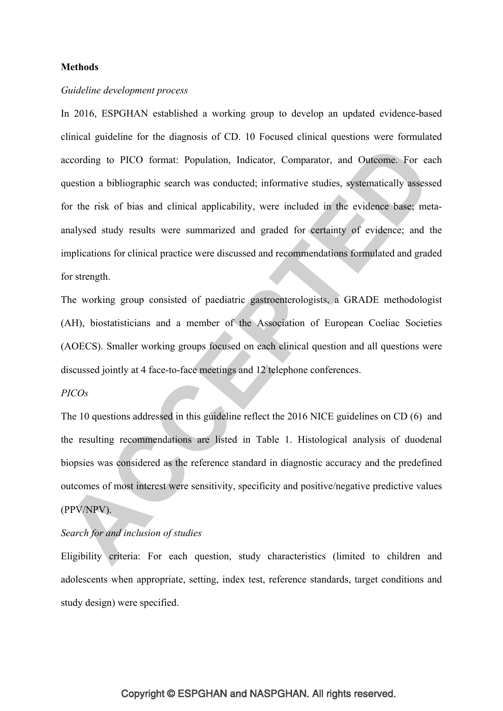### **Methods**

### *Guideline development process*

In 2016, ESPGHAN established a working group to develop an updated evidence-based clinical guideline for the diagnosis of CD. 10 Focused clinical questions were formulated according to PICO format: Population, Indicator, Comparator, and Outcome. For each question a bibliographic search was conducted; informative studies, systematically assessed for the risk of bias and clinical applicability, were included in the evidence base; metaanalysed study results were summarized and graded for certainty of evidence; and the implications for clinical practice were discussed and recommendations formulated and graded for strength.

The working group consisted of paediatric gastroenterologists, a GRADE methodologist (AH), biostatisticians and a member of the Association of European Coeliac Societies (AOECS). Smaller working groups focused on each clinical question and all questions were discussed jointly at 4 face-to-face meetings and 12 telephone conferences.

### *PICOs*

The 10 questions addressed in this guideline reflect the 2016 NICE guidelines on CD (6) and the resulting recommendations are listed in Table 1. Histological analysis of duodenal biopsies was considered as the reference standard in diagnostic accuracy and the predefined outcomes of most interest were sensitivity, specificity and positive/negative predictive values (PPV/NPV).

### *Search for and inclusion of studies*

Eligibility criteria: For each question, study characteristics (limited to children and adolescents when appropriate, setting, index test, reference standards, target conditions and study design) were specified.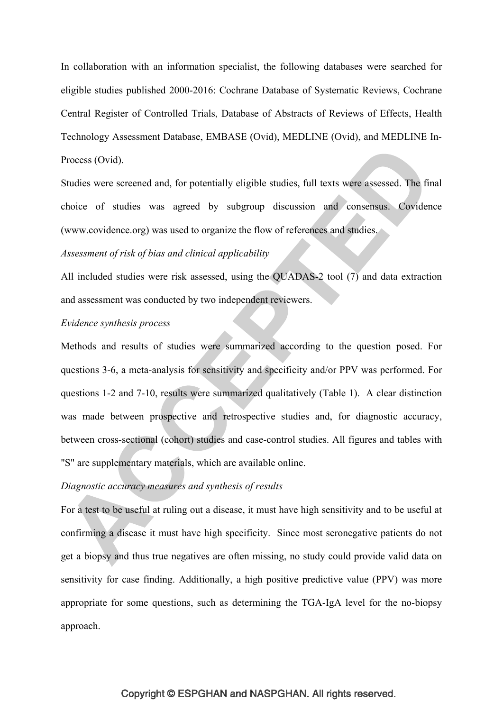In collaboration with an information specialist, the following databases were searched for eligible studies published 2000-2016: Cochrane Database of Systematic Reviews, Cochrane Central Register of Controlled Trials, Database of Abstracts of Reviews of Effects, Health Technology Assessment Database, EMBASE (Ovid), MEDLINE (Ovid), and MEDLINE In-Process (Ovid).

Studies were screened and, for potentially eligible studies, full texts were assessed. The final choice of studies was agreed by subgroup discussion and consensus. Covidence (www.covidence.org) was used to organize the flow of references and studies.

### *Assessment of risk of bias and clinical applicability*

All included studies were risk assessed, using the QUADAS-2 tool (7) and data extraction and assessment was conducted by two independent reviewers.

### *Evidence synthesis process*

Methods and results of studies were summarized according to the question posed. For questions 3-6, a meta-analysis for sensitivity and specificity and/or PPV was performed. For questions 1-2 and 7-10, results were summarized qualitatively (Table 1). A clear distinction was made between prospective and retrospective studies and, for diagnostic accuracy, between cross-sectional (cohort) studies and case-control studies. All figures and tables with "S" are supplementary materials, which are available online.

### *Diagnostic accuracy measures and synthesis of results*

For a test to be useful at ruling out a disease, it must have high sensitivity and to be useful at confirming a disease it must have high specificity. Since most seronegative patients do not get a biopsy and thus true negatives are often missing, no study could provide valid data on sensitivity for case finding. Additionally, a high positive predictive value (PPV) was more appropriate for some questions, such as determining the TGA-IgA level for the no-biopsy approach.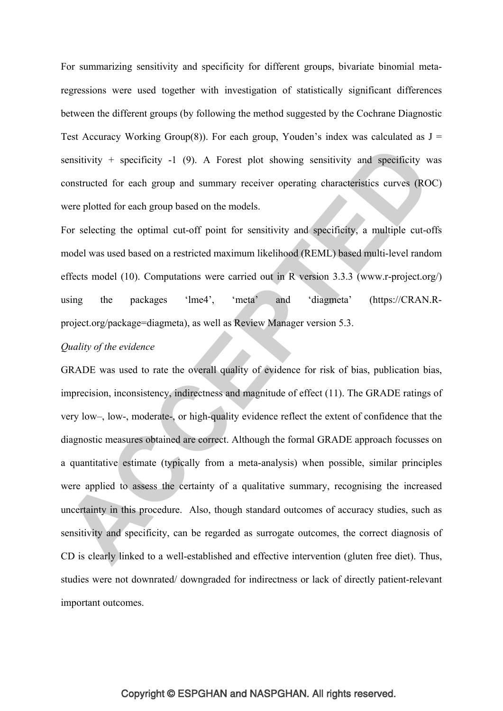For summarizing sensitivity and specificity for different groups, bivariate binomial metaregressions were used together with investigation of statistically significant differences between the different groups (by following the method suggested by the Cochrane Diagnostic Test Accuracy Working Group(8)). For each group, Youden's index was calculated as  $J =$ sensitivity + specificity  $-1$  (9). A Forest plot showing sensitivity and specificity was constructed for each group and summary receiver operating characteristics curves (ROC) were plotted for each group based on the models.

For selecting the optimal cut-off point for sensitivity and specificity, a multiple cut-offs model was used based on a restricted maximum likelihood (REML) based multi-level random effects model (10). Computations were carried out in R version 3.3.3 (www.r-project.org/) using the packages 'lme4', 'meta' and 'diagmeta' (https://CRAN.Rproject.org/package=diagmeta), as well as Review Manager version 5.3.

### *Quality of the evidence*

GRADE was used to rate the overall quality of evidence for risk of bias, publication bias, imprecision, inconsistency, indirectness and magnitude of effect (11). The GRADE ratings of very low–, low-, moderate-, or high-quality evidence reflect the extent of confidence that the diagnostic measures obtained are correct. Although the formal GRADE approach focusses on a quantitative estimate (typically from a meta-analysis) when possible, similar principles were applied to assess the certainty of a qualitative summary, recognising the increased uncertainty in this procedure. Also, though standard outcomes of accuracy studies, such as sensitivity and specificity, can be regarded as surrogate outcomes, the correct diagnosis of CD is clearly linked to a well-established and effective intervention (gluten free diet). Thus, studies were not downrated/ downgraded for indirectness or lack of directly patient-relevant important outcomes.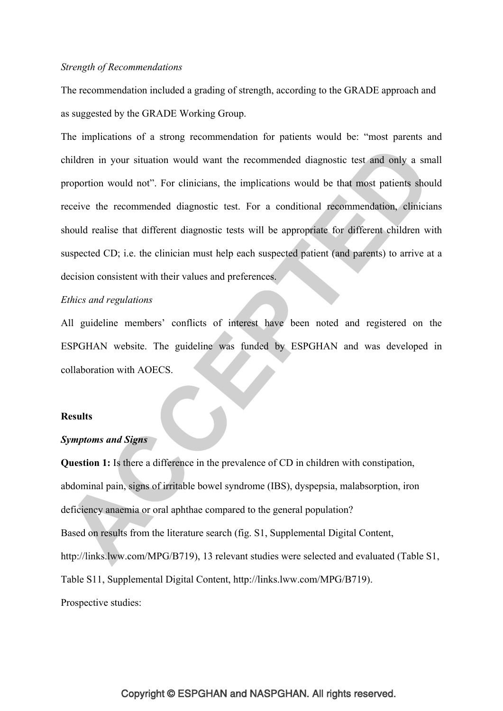### *Strength of Recommendations*

The recommendation included a grading of strength, according to the GRADE approach and as suggested by the GRADE Working Group.

The implications of a strong recommendation for patients would be: "most parents and children in your situation would want the recommended diagnostic test and only a small proportion would not". For clinicians, the implications would be that most patients should receive the recommended diagnostic test. For a conditional recommendation, clinicians should realise that different diagnostic tests will be appropriate for different children with suspected CD; i.e. the clinician must help each suspected patient (and parents) to arrive at a decision consistent with their values and preferences.

### *Ethics and regulations*

All guideline members' conflicts of interest have been noted and registered on the ESPGHAN website. The guideline was funded by ESPGHAN and was developed in collaboration with AOECS.

#### **Results**

### *Symptoms and Signs*

**Question 1:** Is there a difference in the prevalence of CD in children with constipation, abdominal pain, signs of irritable bowel syndrome (IBS), dyspepsia, malabsorption, iron deficiency anaemia or oral aphthae compared to the general population? Based on results from the literature search (fig. S1, Supplemental Digital Content, http://links.lww.com/MPG/B719), 13 relevant studies were selected and evaluated (Table S1, Table S11, Supplemental Digital Content, http://links.lww.com/MPG/B719). Prospective studies: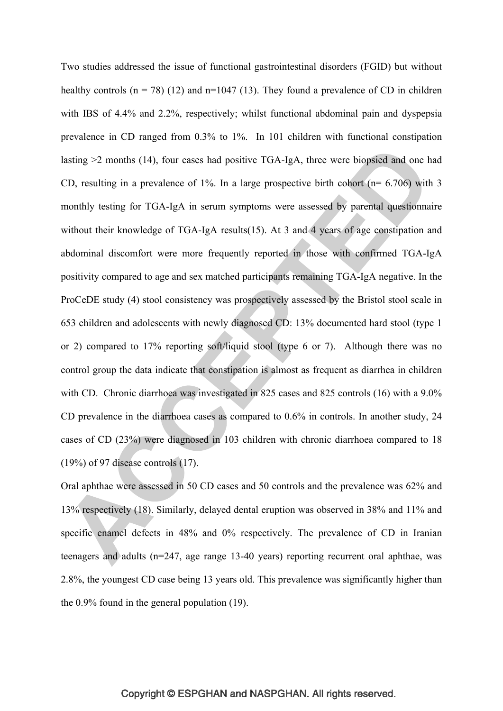Two studies addressed the issue of functional gastrointestinal disorders (FGID) but without healthy controls  $(n = 78)$  (12) and  $n=1047$  (13). They found a prevalence of CD in children with IBS of 4.4% and 2.2%, respectively; whilst functional abdominal pain and dyspepsia prevalence in CD ranged from 0.3% to 1%. In 101 children with functional constipation lasting >2 months (14), four cases had positive TGA-IgA, three were biopsied and one had CD, resulting in a prevalence of 1%. In a large prospective birth cohort ( $n= 6.706$ ) with 3 monthly testing for TGA-IgA in serum symptoms were assessed by parental questionnaire without their knowledge of TGA-IgA results(15). At 3 and 4 years of age constipation and abdominal discomfort were more frequently reported in those with confirmed TGA-IgA positivity compared to age and sex matched participants remaining TGA-IgA negative. In the ProCeDE study (4) stool consistency was prospectively assessed by the Bristol stool scale in 653 children and adolescents with newly diagnosed CD: 13% documented hard stool (type 1 or 2) compared to 17% reporting soft/liquid stool (type 6 or 7). Although there was no control group the data indicate that constipation is almost as frequent as diarrhea in children with CD. Chronic diarrhoea was investigated in 825 cases and 825 controls (16) with a 9.0% CD prevalence in the diarrhoea cases as compared to 0.6% in controls. In another study, 24 cases of CD (23%) were diagnosed in 103 children with chronic diarrhoea compared to 18 (19%) of 97 disease controls (17).

Oral aphthae were assessed in 50 CD cases and 50 controls and the prevalence was 62% and 13% respectively (18). Similarly, delayed dental eruption was observed in 38% and 11% and specific enamel defects in 48% and 0% respectively. The prevalence of CD in Iranian teenagers and adults (n=247, age range 13-40 years) reporting recurrent oral aphthae, was 2.8%, the youngest CD case being 13 years old. This prevalence was significantly higher than the 0.9% found in the general population (19).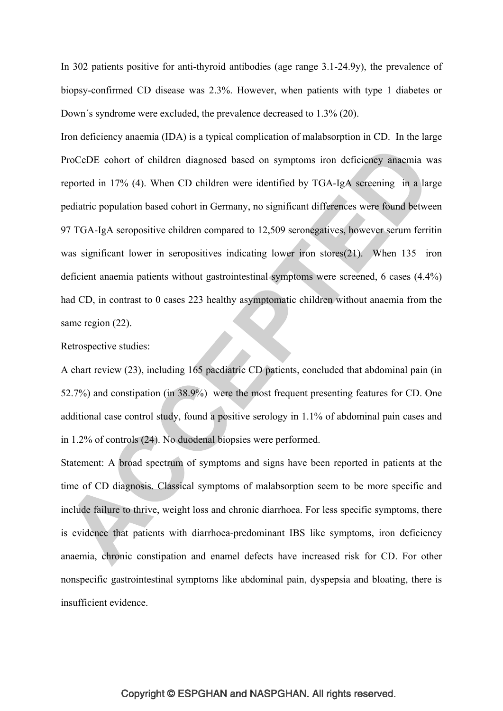In 302 patients positive for anti-thyroid antibodies (age range 3.1-24.9y), the prevalence of biopsy-confirmed CD disease was 2.3%. However, when patients with type 1 diabetes or Down´s syndrome were excluded, the prevalence decreased to 1.3% (20).

Iron deficiency anaemia (IDA) is a typical complication of malabsorption in CD. In the large ProCeDE cohort of children diagnosed based on symptoms iron deficiency anaemia was reported in 17% (4). When CD children were identified by TGA-IgA screening in a large pediatric population based cohort in Germany, no significant differences were found between 97 TGA-IgA seropositive children compared to 12,509 seronegatives, however serum ferritin was significant lower in seropositives indicating lower iron stores(21). When 135 iron deficient anaemia patients without gastrointestinal symptoms were screened, 6 cases (4.4%) had CD, in contrast to 0 cases 223 healthy asymptomatic children without anaemia from the same region  $(22)$ .

Retrospective studies:

A chart review (23), including 165 paediatric CD patients, concluded that abdominal pain (in 52.7%) and constipation (in 38.9%) were the most frequent presenting features for CD. One additional case control study, found a positive serology in 1.1% of abdominal pain cases and in 1.2% of controls (24). No duodenal biopsies were performed.

Statement: A broad spectrum of symptoms and signs have been reported in patients at the time of CD diagnosis. Classical symptoms of malabsorption seem to be more specific and include failure to thrive, weight loss and chronic diarrhoea. For less specific symptoms, there is evidence that patients with diarrhoea-predominant IBS like symptoms, iron deficiency anaemia, chronic constipation and enamel defects have increased risk for CD. For other nonspecific gastrointestinal symptoms like abdominal pain, dyspepsia and bloating, there is insufficient evidence.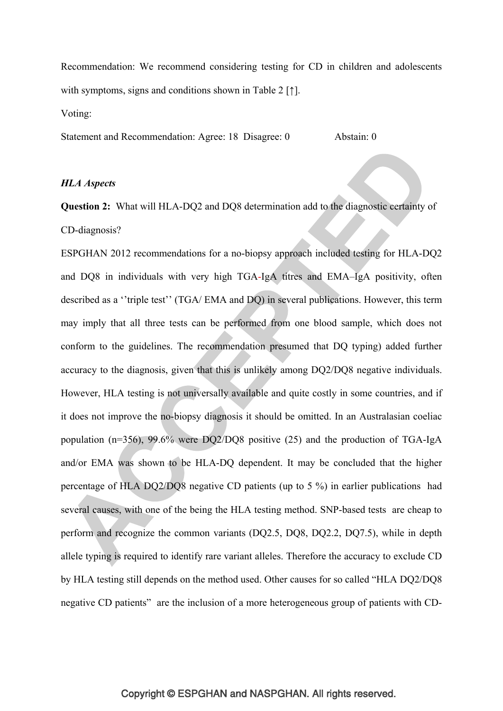Recommendation: We recommend considering testing for CD in children and adolescents with symptoms, signs and conditions shown in Table 2 [↑]. Voting:

Statement and Recommendation: Agree: 18 Disagree: 0 Abstain: 0

### *HLA Aspects*

**Question 2:** What will HLA-DQ2 and DQ8 determination add to the diagnostic certainty of CD-diagnosis?

ESPGHAN 2012 recommendations for a no-biopsy approach included testing for HLA-DQ2 and DQ8 in individuals with very high TGA-IgA titres and EMA–IgA positivity, often described as a ''triple test'' (TGA/ EMA and DQ) in several publications. However, this term may imply that all three tests can be performed from one blood sample, which does not conform to the guidelines. The recommendation presumed that DQ typing) added further accuracy to the diagnosis, given that this is unlikely among DQ2/DQ8 negative individuals. However, HLA testing is not universally available and quite costly in some countries, and if it does not improve the no-biopsy diagnosis it should be omitted. In an Australasian coeliac population (n=356), 99.6% were DQ2/DQ8 positive (25) and the production of TGA-IgA and/or EMA was shown to be HLA-DQ dependent. It may be concluded that the higher percentage of HLA DQ2/DQ8 negative CD patients (up to 5 %) in earlier publications had several causes, with one of the being the HLA testing method. SNP-based tests are cheap to perform and recognize the common variants (DQ2.5, DQ8, DQ2.2, DQ7.5), while in depth allele typing is required to identify rare variant alleles. Therefore the accuracy to exclude CD by HLA testing still depends on the method used. Other causes for so called "HLA DQ2/DQ8 negative CD patients" are the inclusion of a more heterogeneous group of patients with CD-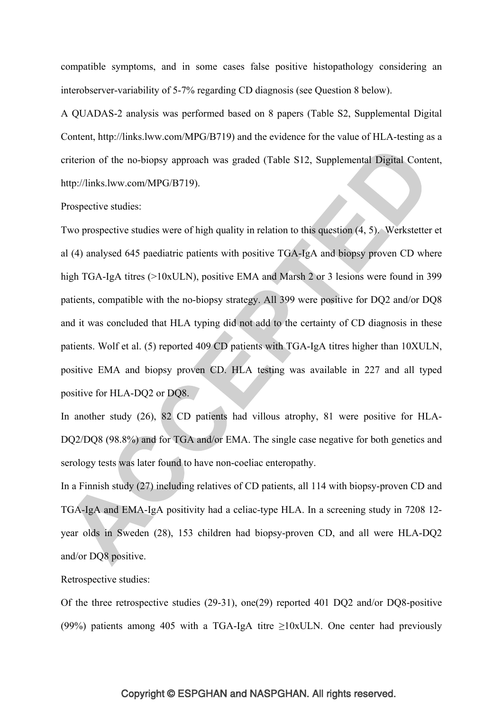compatible symptoms, and in some cases false positive histopathology considering an interobserver-variability of 5-7% regarding CD diagnosis (see Question 8 below).

A QUADAS-2 analysis was performed based on 8 papers (Table S2, Supplemental Digital Content, http://links.lww.com/MPG/B719) and the evidence for the value of HLA-testing as a criterion of the no-biopsy approach was graded (Table S12, Supplemental Digital Content, http://links.lww.com/MPG/B719).

### Prospective studies:

Two prospective studies were of high quality in relation to this question (4, 5). Werkstetter et al (4) analysed 645 paediatric patients with positive TGA-IgA and biopsy proven CD where high TGA-IgA titres (>10xULN), positive EMA and Marsh 2 or 3 lesions were found in 399 patients, compatible with the no-biopsy strategy. All 399 were positive for DQ2 and/or DQ8 and it was concluded that HLA typing did not add to the certainty of CD diagnosis in these patients. Wolf et al. (5) reported 409 CD patients with TGA-IgA titres higher than 10XULN, positive EMA and biopsy proven CD. HLA testing was available in 227 and all typed positive for HLA-DQ2 or DQ8.

In another study (26), 82 CD patients had villous atrophy, 81 were positive for HLA-DQ2/DQ8 (98.8%) and for TGA and/or EMA. The single case negative for both genetics and serology tests was later found to have non-coeliac enteropathy.

In a Finnish study (27) including relatives of CD patients, all 114 with biopsy-proven CD and TGA-IgA and EMA-IgA positivity had a celiac-type HLA. In a screening study in 7208 12 year olds in Sweden (28), 153 children had biopsy-proven CD, and all were HLA-DQ2 and/or DQ8 positive.

### Retrospective studies:

Of the three retrospective studies (29-31), one(29) reported 401 DQ2 and/or DQ8-positive (99%) patients among 405 with a TGA-IgA titre ≥10xULN. One center had previously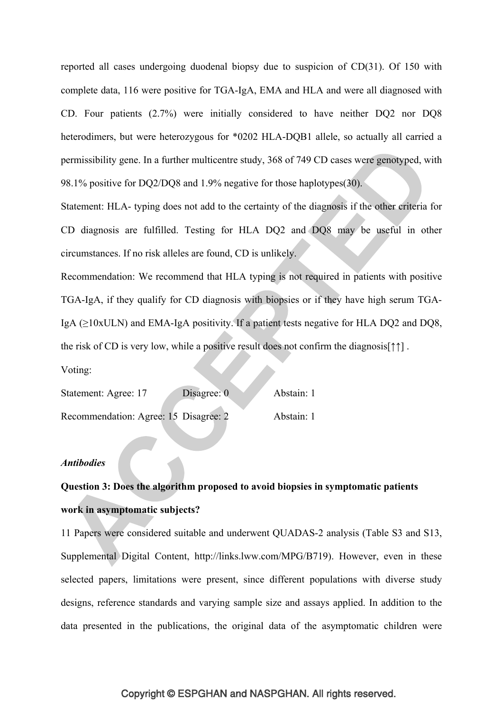reported all cases undergoing duodenal biopsy due to suspicion of CD(31). Of 150 with complete data, 116 were positive for TGA-IgA, EMA and HLA and were all diagnosed with CD. Four patients (2.7%) were initially considered to have neither DQ2 nor DQ8 heterodimers, but were heterozygous for \*0202 HLA-DQB1 allele, so actually all carried a permissibility gene. In a further multicentre study, 368 of 749 CD cases were genotyped, with 98.1% positive for DQ2/DQ8 and 1.9% negative for those haplotypes(30).

Statement: HLA- typing does not add to the certainty of the diagnosis if the other criteria for CD diagnosis are fulfilled. Testing for HLA DQ2 and DQ8 may be useful in other circumstances. If no risk alleles are found, CD is unlikely.

Recommendation: We recommend that HLA typing is not required in patients with positive TGA-IgA, if they qualify for CD diagnosis with biopsies or if they have high serum TGA-IgA  $(\geq 10xULN)$  and EMA-IgA positivity. If a patient tests negative for HLA DQ2 and DQ8, the risk of CD is very low, while a positive result does not confirm the diagnosis[↑↑] .

Voting:

| Statement: Agree: 17                  | Disagree: 0 | Abstain: 1 |
|---------------------------------------|-------------|------------|
| Recommendation: Agree: 15 Disagree: 2 |             | Abstain: 1 |

### *Antibodies*

# **Question 3: Does the algorithm proposed to avoid biopsies in symptomatic patients work in asymptomatic subjects?**

11 Papers were considered suitable and underwent QUADAS-2 analysis (Table S3 and S13, Supplemental Digital Content, http://links.lww.com/MPG/B719). However, even in these selected papers, limitations were present, since different populations with diverse study designs, reference standards and varying sample size and assays applied. In addition to the data presented in the publications, the original data of the asymptomatic children were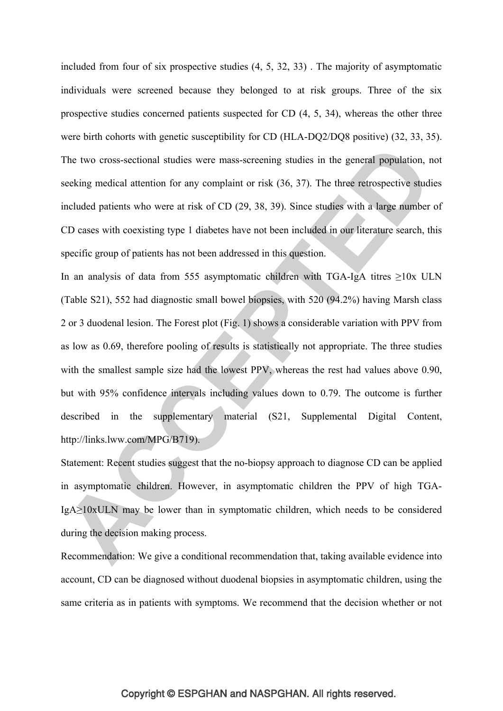included from four of six prospective studies (4, 5, 32, 33) . The majority of asymptomatic individuals were screened because they belonged to at risk groups. Three of the six prospective studies concerned patients suspected for CD (4, 5, 34), whereas the other three were birth cohorts with genetic susceptibility for CD (HLA-DQ2/DQ8 positive) (32, 33, 35). The two cross-sectional studies were mass-screening studies in the general population, not seeking medical attention for any complaint or risk (36, 37). The three retrospective studies included patients who were at risk of CD (29, 38, 39). Since studies with a large number of CD cases with coexisting type 1 diabetes have not been included in our literature search, this specific group of patients has not been addressed in this question.

In an analysis of data from 555 asymptomatic children with TGA-IgA titres  $\geq 10x$  ULN (Table S21), 552 had diagnostic small bowel biopsies, with 520 (94.2%) having Marsh class 2 or 3 duodenal lesion. The Forest plot (Fig. 1) shows a considerable variation with PPV from as low as 0.69, therefore pooling of results is statistically not appropriate. The three studies with the smallest sample size had the lowest PPV, whereas the rest had values above 0.90, but with 95% confidence intervals including values down to 0.79. The outcome is further described in the supplementary material (S21, Supplemental Digital Content, http://links.lww.com/MPG/B719).

Statement: Recent studies suggest that the no-biopsy approach to diagnose CD can be applied in asymptomatic children. However, in asymptomatic children the PPV of high TGA-IgA≥10xULN may be lower than in symptomatic children, which needs to be considered during the decision making process.

Recommendation: We give a conditional recommendation that, taking available evidence into account, CD can be diagnosed without duodenal biopsies in asymptomatic children, using the same criteria as in patients with symptoms. We recommend that the decision whether or not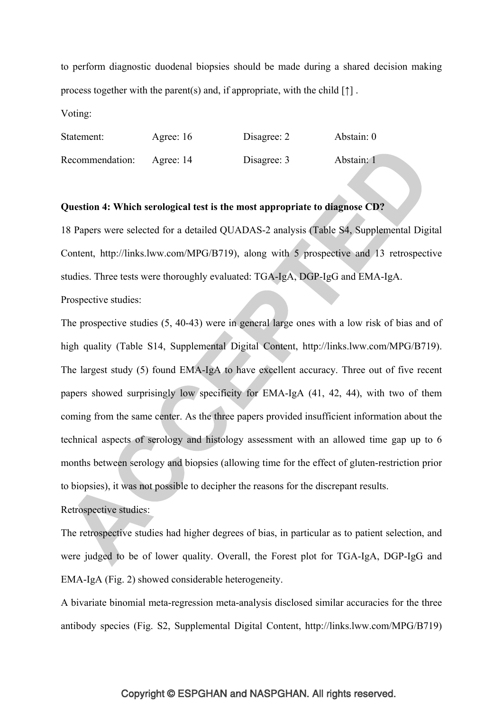to perform diagnostic duodenal biopsies should be made during a shared decision making process together with the parent(s) and, if appropriate, with the child  $[\uparrow]$ .

Voting:

| Statement:      | Agree: 16 | Disagree: 2 | Abstain: 0 |
|-----------------|-----------|-------------|------------|
| Recommendation: | Agree: 14 | Disagree: 3 | Abstain: 1 |

### **Question 4: Which serological test is the most appropriate to diagnose CD?**

18 Papers were selected for a detailed QUADAS-2 analysis (Table S4, Supplemental Digital Content, http://links.lww.com/MPG/B719), along with 5 prospective and 13 retrospective studies. Three tests were thoroughly evaluated: TGA-IgA, DGP-IgG and EMA-IgA. Prospective studies:

The prospective studies (5, 40-43) were in general large ones with a low risk of bias and of high quality (Table S14, Supplemental Digital Content, http://links.lww.com/MPG/B719). The largest study (5) found EMA-IgA to have excellent accuracy. Three out of five recent papers showed surprisingly low specificity for EMA-IgA (41, 42, 44), with two of them coming from the same center. As the three papers provided insufficient information about the technical aspects of serology and histology assessment with an allowed time gap up to 6 months between serology and biopsies (allowing time for the effect of gluten-restriction prior to biopsies), it was not possible to decipher the reasons for the discrepant results.

Retrospective studies:

The retrospective studies had higher degrees of bias, in particular as to patient selection, and were judged to be of lower quality. Overall, the Forest plot for TGA-IgA, DGP-IgG and EMA-IgA (Fig. 2) showed considerable heterogeneity.

A bivariate binomial meta-regression meta-analysis disclosed similar accuracies for the three antibody species (Fig. S2, Supplemental Digital Content, http://links.lww.com/MPG/B719)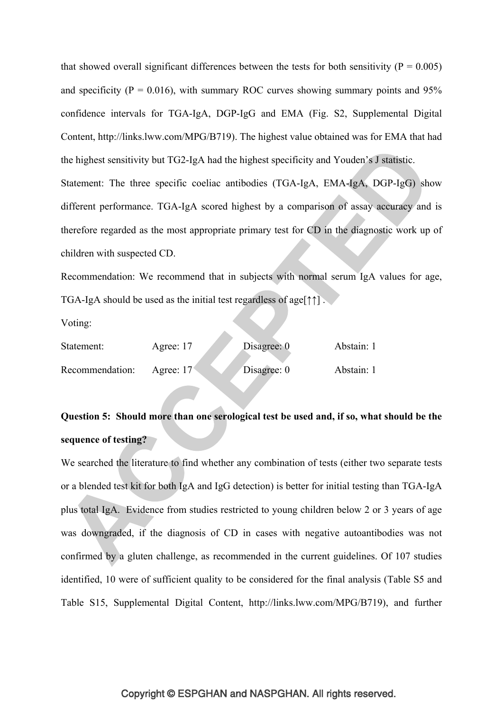that showed overall significant differences between the tests for both sensitivity ( $P = 0.005$ ) and specificity ( $P = 0.016$ ), with summary ROC curves showing summary points and 95% confidence intervals for TGA-IgA, DGP-IgG and EMA (Fig. S2, Supplemental Digital Content, http://links.lww.com/MPG/B719). The highest value obtained was for EMA that had the highest sensitivity but TG2-IgA had the highest specificity and Youden's J statistic. Statement: The three specific coeliac antibodies (TGA-IgA, EMA-IgA, DGP-IgG) show different performance. TGA-IgA scored highest by a comparison of assay accuracy and is therefore regarded as the most appropriate primary test for CD in the diagnostic work up of children with suspected CD.

Recommendation: We recommend that in subjects with normal serum IgA values for age, TGA-IgA should be used as the initial test regardless of age[↑↑] .

Voting:

| Statement:      | Agree: 17         | Disagree: $0$ | Abstain: 1 |
|-----------------|-------------------|---------------|------------|
| Recommendation: | Agree: $17^\circ$ | Disagree: 0   | Abstain: 1 |

## **Question 5: Should more than one serological test be used and, if so, what should be the sequence of testing?**

We searched the literature to find whether any combination of tests (either two separate tests or a blended test kit for both IgA and IgG detection) is better for initial testing than TGA-IgA plus total IgA. Evidence from studies restricted to young children below 2 or 3 years of age was downgraded, if the diagnosis of CD in cases with negative autoantibodies was not confirmed by a gluten challenge, as recommended in the current guidelines. Of 107 studies identified, 10 were of sufficient quality to be considered for the final analysis (Table S5 and Table S15, Supplemental Digital Content, http://links.lww.com/MPG/B719), and further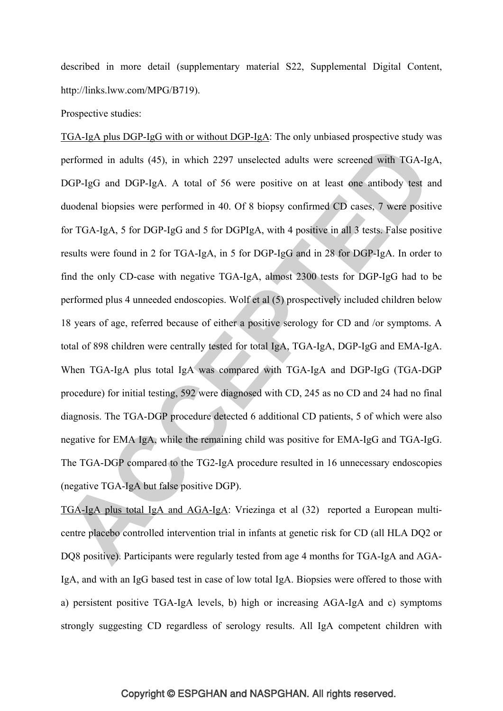described in more detail (supplementary material S22, Supplemental Digital Content, http://links.lww.com/MPG/B719).

Prospective studies:

TGA-IgA plus DGP-IgG with or without DGP-IgA: The only unbiased prospective study was performed in adults (45), in which 2297 unselected adults were screened with TGA-IgA, DGP-IgG and DGP-IgA. A total of 56 were positive on at least one antibody test and duodenal biopsies were performed in 40. Of 8 biopsy confirmed CD cases, 7 were positive for TGA-IgA, 5 for DGP-IgG and 5 for DGPIgA, with 4 positive in all 3 tests. False positive results were found in 2 for TGA-IgA, in 5 for DGP-IgG and in 28 for DGP-IgA. In order to find the only CD-case with negative TGA-IgA, almost 2300 tests for DGP-IgG had to be performed plus 4 unneeded endoscopies. Wolf et al (5) prospectively included children below 18 years of age, referred because of either a positive serology for CD and /or symptoms. A total of 898 children were centrally tested for total IgA, TGA-IgA, DGP-IgG and EMA-IgA. When TGA-IgA plus total IgA was compared with TGA-IgA and DGP-IgG (TGA-DGP procedure) for initial testing, 592 were diagnosed with CD, 245 as no CD and 24 had no final diagnosis. The TGA-DGP procedure detected 6 additional CD patients, 5 of which were also negative for EMA IgA, while the remaining child was positive for EMA-IgG and TGA-IgG. The TGA-DGP compared to the TG2-IgA procedure resulted in 16 unnecessary endoscopies (negative TGA-IgA but false positive DGP).

TGA-IgA plus total IgA and AGA-IgA: Vriezinga et al (32) reported a European multicentre placebo controlled intervention trial in infants at genetic risk for CD (all HLA DQ2 or DQ8 positive). Participants were regularly tested from age 4 months for TGA-IgA and AGA-IgA, and with an IgG based test in case of low total IgA. Biopsies were offered to those with a) persistent positive TGA-IgA levels, b) high or increasing AGA-IgA and c) symptoms strongly suggesting CD regardless of serology results. All IgA competent children with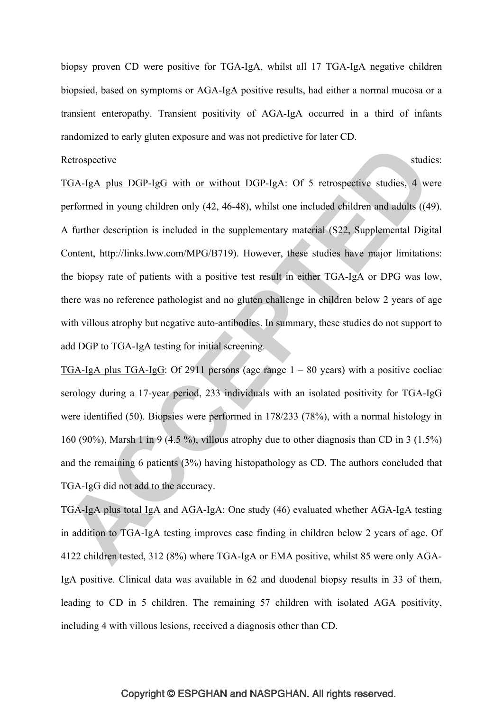biopsy proven CD were positive for TGA-IgA, whilst all 17 TGA-IgA negative children biopsied, based on symptoms or AGA-IgA positive results, had either a normal mucosa or a transient enteropathy. Transient positivity of AGA-IgA occurred in a third of infants randomized to early gluten exposure and was not predictive for later CD.

Retrospective studies:

TGA-IgA plus DGP-IgG with or without DGP-IgA: Of 5 retrospective studies, 4 were performed in young children only (42, 46-48), whilst one included children and adults ((49). A further description is included in the supplementary material (S22, Supplemental Digital Content, http://links.lww.com/MPG/B719). However, these studies have major limitations: the biopsy rate of patients with a positive test result in either TGA-IgA or DPG was low, there was no reference pathologist and no gluten challenge in children below 2 years of age with villous atrophy but negative auto-antibodies. In summary, these studies do not support to add DGP to TGA-IgA testing for initial screening.

TGA-IgA plus TGA-IgG: Of 2911 persons (age range  $1 - 80$  years) with a positive coeliac serology during a 17-year period, 233 individuals with an isolated positivity for TGA-IgG were identified (50). Biopsies were performed in 178/233 (78%), with a normal histology in 160 (90%), Marsh 1 in 9 (4.5 %), villous atrophy due to other diagnosis than CD in 3 (1.5%) and the remaining 6 patients (3%) having histopathology as CD. The authors concluded that TGA-IgG did not add to the accuracy.

TGA-IgA plus total IgA and AGA-IgA: One study (46) evaluated whether AGA-IgA testing in addition to TGA-IgA testing improves case finding in children below 2 years of age. Of 4122 children tested, 312 (8%) where TGA-IgA or EMA positive, whilst 85 were only AGA-IgA positive. Clinical data was available in 62 and duodenal biopsy results in 33 of them, leading to CD in 5 children. The remaining 57 children with isolated AGA positivity, including 4 with villous lesions, received a diagnosis other than CD.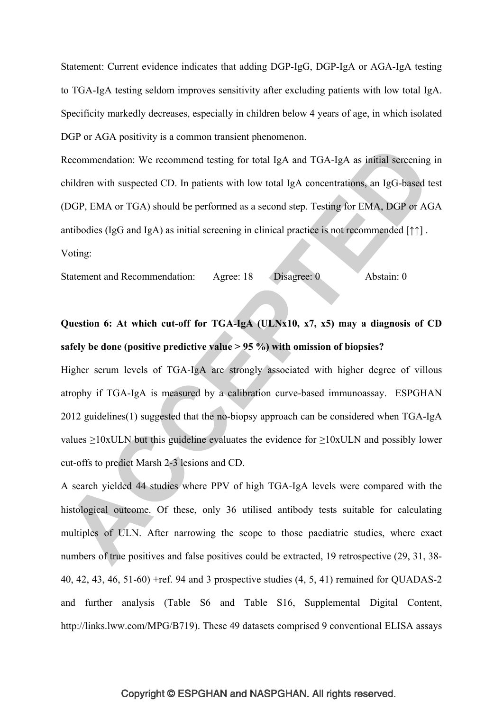Statement: Current evidence indicates that adding DGP-IgG, DGP-IgA or AGA-IgA testing to TGA-IgA testing seldom improves sensitivity after excluding patients with low total IgA. Specificity markedly decreases, especially in children below 4 years of age, in which isolated DGP or AGA positivity is a common transient phenomenon.

Recommendation: We recommend testing for total IgA and TGA-IgA as initial screening in children with suspected CD. In patients with low total IgA concentrations, an IgG-based test (DGP, EMA or TGA) should be performed as a second step. Testing for EMA, DGP or AGA antibodies (IgG and IgA) as initial screening in clinical practice is not recommended [↑↑] . Voting:

Statement and Recommendation: Agree: 18 Disagree: 0 Abstain: 0

# **Question 6: At which cut-off for TGA-IgA (ULNx10, x7, x5) may a diagnosis of CD safely be done (positive predictive value > 95 %) with omission of biopsies?**

Higher serum levels of TGA-IgA are strongly associated with higher degree of villous atrophy if TGA-IgA is measured by a calibration curve-based immunoassay. ESPGHAN 2012 guidelines(1) suggested that the no-biopsy approach can be considered when TGA-IgA values  $\geq$ 10xULN but this guideline evaluates the evidence for  $\geq$ 10xULN and possibly lower cut-offs to predict Marsh 2-3 lesions and CD.

A search yielded 44 studies where PPV of high TGA-IgA levels were compared with the histological outcome. Of these, only 36 utilised antibody tests suitable for calculating multiples of ULN. After narrowing the scope to those paediatric studies, where exact numbers of true positives and false positives could be extracted, 19 retrospective (29, 31, 38-40, 42, 43, 46, 51-60) +ref. 94 and 3 prospective studies (4, 5, 41) remained for QUADAS-2 and further analysis (Table S6 and Table S16, Supplemental Digital Content, http://links.lww.com/MPG/B719). These 49 datasets comprised 9 conventional ELISA assays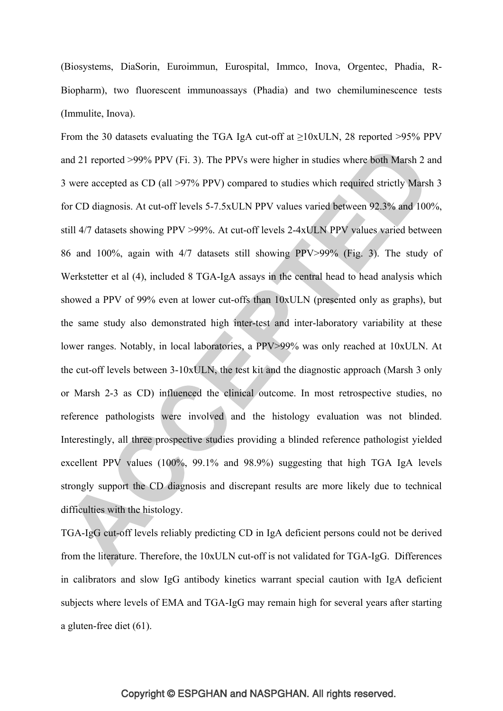(Biosystems, DiaSorin, Euroimmun, Eurospital, Immco, Inova, Orgentec, Phadia, R-Biopharm), two fluorescent immunoassays (Phadia) and two chemiluminescence tests (Immulite, Inova).

From the 30 datasets evaluating the TGA IgA cut-off at  $\geq$ 10xULN, 28 reported >95% PPV and 21 reported >99% PPV (Fi. 3). The PPVs were higher in studies where both Marsh 2 and 3 were accepted as CD (all >97% PPV) compared to studies which required strictly Marsh 3 for CD diagnosis. At cut-off levels 5-7.5xULN PPV values varied between 92.3% and 100%, still 4/7 datasets showing PPV >99%. At cut-off levels 2-4xULN PPV values varied between 86 and 100%, again with 4/7 datasets still showing PPV>99% (Fig. 3). The study of Werkstetter et al (4), included 8 TGA-IgA assays in the central head to head analysis which showed a PPV of 99% even at lower cut-offs than 10xULN (presented only as graphs), but the same study also demonstrated high inter-test and inter-laboratory variability at these lower ranges. Notably, in local laboratories, a PPV>99% was only reached at 10xULN. At the cut-off levels between 3-10xULN, the test kit and the diagnostic approach (Marsh 3 only or Marsh 2-3 as CD) influenced the clinical outcome. In most retrospective studies, no reference pathologists were involved and the histology evaluation was not blinded. Interestingly, all three prospective studies providing a blinded reference pathologist yielded excellent PPV values (100%, 99.1% and 98.9%) suggesting that high TGA IgA levels strongly support the CD diagnosis and discrepant results are more likely due to technical difficulties with the histology.

TGA-IgG cut-off levels reliably predicting CD in IgA deficient persons could not be derived from the literature. Therefore, the 10xULN cut-off is not validated for TGA-IgG. Differences in calibrators and slow IgG antibody kinetics warrant special caution with IgA deficient subjects where levels of EMA and TGA-IgG may remain high for several years after starting a gluten-free diet (61).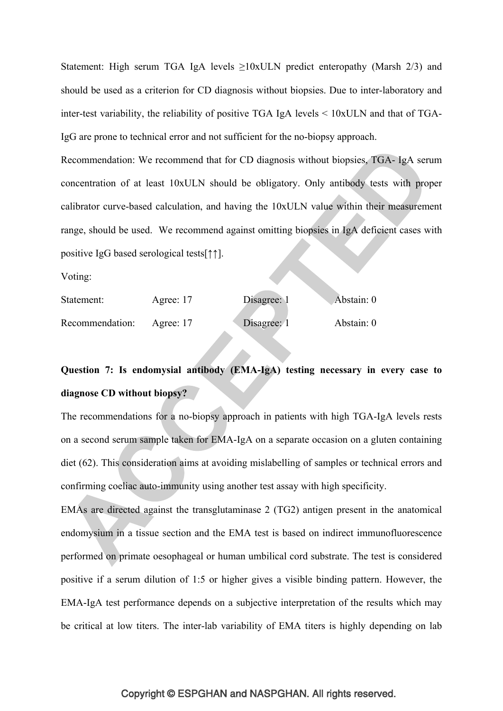Statement: High serum TGA IgA levels  $\geq 10x$ ULN predict enteropathy (Marsh 2/3) and should be used as a criterion for CD diagnosis without biopsies. Due to inter-laboratory and inter-test variability, the reliability of positive TGA IgA levels < 10xULN and that of TGA-IgG are prone to technical error and not sufficient for the no-biopsy approach.

Recommendation: We recommend that for CD diagnosis without biopsies, TGA- IgA serum concentration of at least 10xULN should be obligatory. Only antibody tests with proper calibrator curve-based calculation, and having the 10xULN value within their measurement range, should be used. We recommend against omitting biopsies in IgA deficient cases with positive IgG based serological tests[↑↑].

Voting:

| Statement:      | Agree: 17 | Disagree: 1 | Abstain: 0 |
|-----------------|-----------|-------------|------------|
| Recommendation: | Agree: 17 | Disagree: 1 | Abstain: 0 |

## **Question 7: Is endomysial antibody (EMA-IgA) testing necessary in every case to diagnose CD without biopsy?**

The recommendations for a no-biopsy approach in patients with high TGA-IgA levels rests on a second serum sample taken for EMA-IgA on a separate occasion on a gluten containing diet (62). This consideration aims at avoiding mislabelling of samples or technical errors and confirming coeliac auto-immunity using another test assay with high specificity.

EMAs are directed against the transglutaminase 2 (TG2) antigen present in the anatomical endomysium in a tissue section and the EMA test is based on indirect immunofluorescence performed on primate oesophageal or human umbilical cord substrate. The test is considered positive if a serum dilution of 1:5 or higher gives a visible binding pattern. However, the EMA-IgA test performance depends on a subjective interpretation of the results which may be critical at low titers. The inter-lab variability of EMA titers is highly depending on lab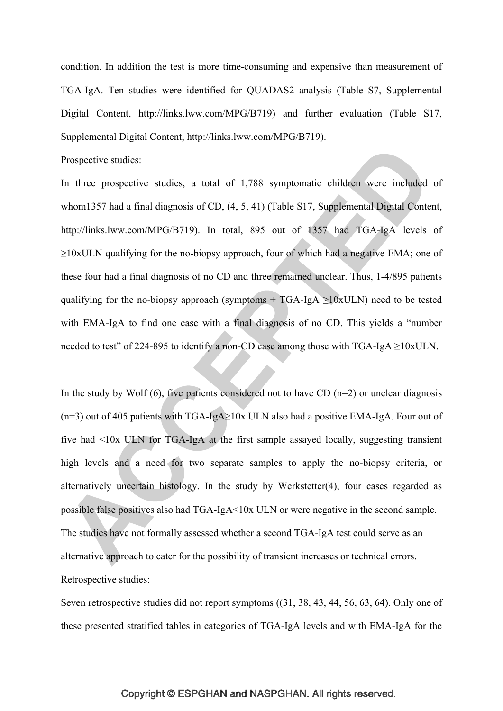condition. In addition the test is more time-consuming and expensive than measurement of TGA-IgA. Ten studies were identified for QUADAS2 analysis (Table S7, Supplemental Digital Content, http://links.lww.com/MPG/B719) and further evaluation (Table S17, Supplemental Digital Content, http://links.lww.com/MPG/B719).

Prospective studies:

In three prospective studies, a total of 1,788 symptomatic children were included of whom1357 had a final diagnosis of CD, (4, 5, 41) (Table S17, Supplemental Digital Content, http://links.lww.com/MPG/B719). In total, 895 out of 1357 had TGA-IgA levels of  $\geq$ 10xULN qualifying for the no-biopsy approach, four of which had a negative EMA; one of these four had a final diagnosis of no CD and three remained unclear. Thus, 1-4/895 patients qualifying for the no-biopsy approach (symptoms  $+$  TGA-IgA  $\geq$ 10xULN) need to be tested with EMA-IgA to find one case with a final diagnosis of no CD. This yields a "number needed to test" of 224-895 to identify a non-CD case among those with  $TGA-IGA \ge 10xULN$ .

In the study by Wolf  $(6)$ , five patients considered not to have CD  $(n=2)$  or unclear diagnosis (n=3) out of 405 patients with TGA-IgA≥10x ULN also had a positive EMA-IgA. Four out of five had <10x ULN for TGA-IgA at the first sample assayed locally, suggesting transient high levels and a need for two separate samples to apply the no-biopsy criteria, or alternatively uncertain histology. In the study by Werkstetter(4), four cases regarded as possible false positives also had TGA-IgA<10x ULN or were negative in the second sample. The studies have not formally assessed whether a second TGA-IgA test could serve as an alternative approach to cater for the possibility of transient increases or technical errors. Retrospective studies:

Seven retrospective studies did not report symptoms ((31, 38, 43, 44, 56, 63, 64). Only one of these presented stratified tables in categories of TGA-IgA levels and with EMA-IgA for the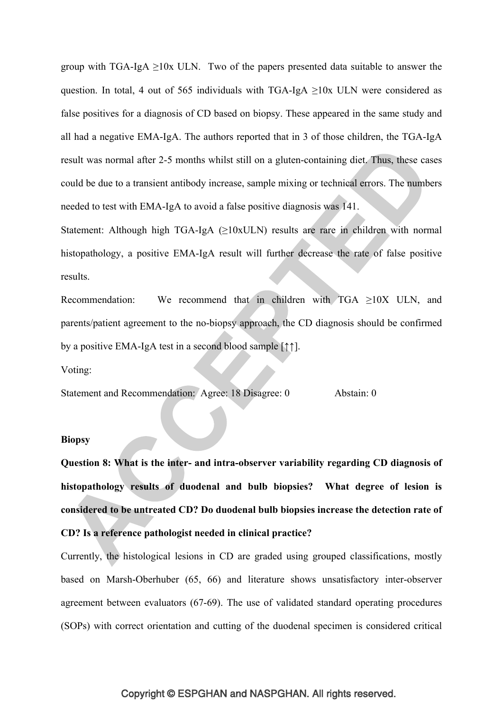group with TGA-IgA  $\geq$ 10x ULN. Two of the papers presented data suitable to answer the question. In total, 4 out of 565 individuals with TGA-IgA  $\geq$ 10x ULN were considered as false positives for a diagnosis of CD based on biopsy. These appeared in the same study and all had a negative EMA-IgA. The authors reported that in 3 of those children, the TGA-IgA result was normal after 2-5 months whilst still on a gluten-containing diet. Thus, these cases could be due to a transient antibody increase, sample mixing or technical errors. The numbers needed to test with EMA-IgA to avoid a false positive diagnosis was 141.

Statement: Although high TGA-IgA (≥10xULN) results are rare in children with normal histopathology, a positive EMA-IgA result will further decrease the rate of false positive results.

Recommendation: We recommend that in children with  $TGA \geq 10X$  ULN, and parents/patient agreement to the no-biopsy approach, the CD diagnosis should be confirmed by a positive EMA-IgA test in a second blood sample [↑↑].

Voting:

Statement and Recommendation: Agree: 18 Disagree: 0 Abstain: 0

### **Biopsy**

**Question 8: What is the inter- and intra-observer variability regarding CD diagnosis of histopathology results of duodenal and bulb biopsies? What degree of lesion is considered to be untreated CD? Do duodenal bulb biopsies increase the detection rate of CD? Is a reference pathologist needed in clinical practice?**

Currently, the histological lesions in CD are graded using grouped classifications, mostly based on Marsh-Oberhuber (65, 66) and literature shows unsatisfactory inter-observer agreement between evaluators (67-69). The use of validated standard operating procedures (SOPs) with correct orientation and cutting of the duodenal specimen is considered critical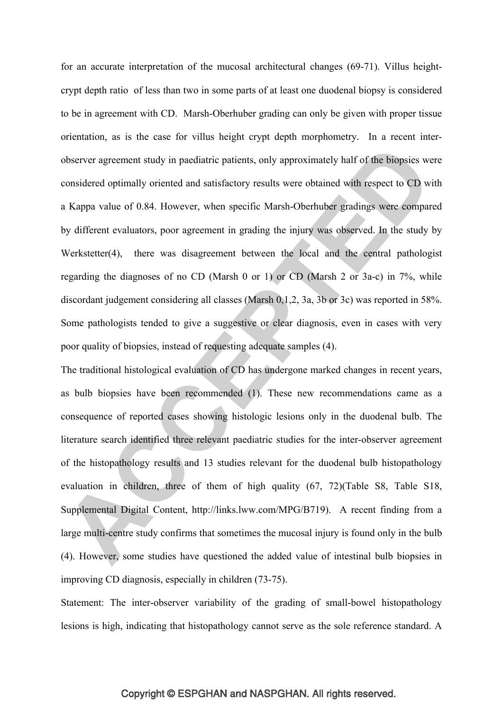for an accurate interpretation of the mucosal architectural changes (69-71). Villus heightcrypt depth ratio of less than two in some parts of at least one duodenal biopsy is considered to be in agreement with CD. Marsh-Oberhuber grading can only be given with proper tissue orientation, as is the case for villus height crypt depth morphometry. In a recent interobserver agreement study in paediatric patients, only approximately half of the biopsies were considered optimally oriented and satisfactory results were obtained with respect to CD with a Kappa value of 0.84. However, when specific Marsh-Oberhuber gradings were compared by different evaluators, poor agreement in grading the injury was observed. In the study by Werkstetter(4), there was disagreement between the local and the central pathologist regarding the diagnoses of no CD (Marsh 0 or 1) or CD (Marsh 2 or 3a-c) in 7%, while discordant judgement considering all classes (Marsh 0,1,2, 3a, 3b or 3c) was reported in 58%. Some pathologists tended to give a suggestive or clear diagnosis, even in cases with very poor quality of biopsies, instead of requesting adequate samples (4).

The traditional histological evaluation of CD has undergone marked changes in recent years, as bulb biopsies have been recommended (1). These new recommendations came as a consequence of reported cases showing histologic lesions only in the duodenal bulb. The literature search identified three relevant paediatric studies for the inter-observer agreement of the histopathology results and 13 studies relevant for the duodenal bulb histopathology evaluation in children, three of them of high quality (67, 72)(Table S8, Table S18, Supplemental Digital Content, http://links.lww.com/MPG/B719). A recent finding from a large multi-centre study confirms that sometimes the mucosal injury is found only in the bulb (4). However, some studies have questioned the added value of intestinal bulb biopsies in improving CD diagnosis, especially in children (73-75).

Statement: The inter-observer variability of the grading of small-bowel histopathology lesions is high, indicating that histopathology cannot serve as the sole reference standard. A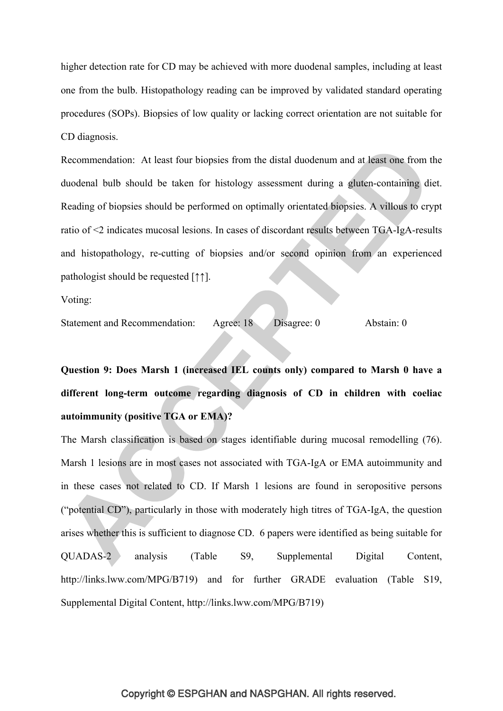higher detection rate for CD may be achieved with more duodenal samples, including at least one from the bulb. Histopathology reading can be improved by validated standard operating procedures (SOPs). Biopsies of low quality or lacking correct orientation are not suitable for CD diagnosis.

Recommendation: At least four biopsies from the distal duodenum and at least one from the duodenal bulb should be taken for histology assessment during a gluten-containing diet. Reading of biopsies should be performed on optimally orientated biopsies. A villous to crypt ratio of <2 indicates mucosal lesions. In cases of discordant results between TGA-IgA-results and histopathology, re-cutting of biopsies and/or second opinion from an experienced pathologist should be requested [↑↑].

Voting:

Statement and Recommendation: Agree: 18 Disagree: 0 Abstain: 0

**Question 9: Does Marsh 1 (increased IEL counts only) compared to Marsh 0 have a different long-term outcome regarding diagnosis of CD in children with coeliac autoimmunity (positive TGA or EMA)?** 

The Marsh classification is based on stages identifiable during mucosal remodelling (76). Marsh 1 lesions are in most cases not associated with TGA-IgA or EMA autoimmunity and in these cases not related to CD. If Marsh 1 lesions are found in seropositive persons ("potential CD"), particularly in those with moderately high titres of TGA-IgA, the question arises whether this is sufficient to diagnose CD. 6 papers were identified as being suitable for QUADAS-2 analysis (Table S9, Supplemental Digital Content, http://links.lww.com/MPG/B719) and for further GRADE evaluation (Table S19, Supplemental Digital Content, http://links.lww.com/MPG/B719)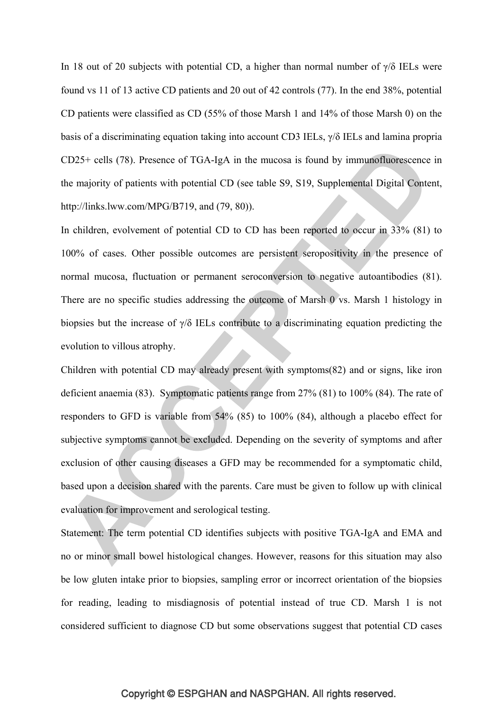In 18 out of 20 subjects with potential CD, a higher than normal number of  $\gamma/\delta$  IELs were found vs 11 of 13 active CD patients and 20 out of 42 controls (77). In the end 38%, potential CD patients were classified as CD (55% of those Marsh 1 and 14% of those Marsh 0) on the basis of a discriminating equation taking into account CD3 IELs, γ/δ IELs and lamina propria CD25+ cells (78). Presence of TGA-IgA in the mucosa is found by immunofluorescence in the majority of patients with potential CD (see table S9, S19, Supplemental Digital Content, http://links.lww.com/MPG/B719, and (79, 80)).

In children, evolvement of potential CD to CD has been reported to occur in 33% (81) to 100% of cases. Other possible outcomes are persistent seropositivity in the presence of normal mucosa, fluctuation or permanent seroconversion to negative autoantibodies (81). There are no specific studies addressing the outcome of Marsh 0 vs. Marsh 1 histology in biopsies but the increase of  $\gamma/\delta$  IELs contribute to a discriminating equation predicting the evolution to villous atrophy.

Children with potential CD may already present with symptoms(82) and or signs, like iron deficient anaemia (83). Symptomatic patients range from 27% (81) to 100% (84). The rate of responders to GFD is variable from 54% (85) to 100% (84), although a placebo effect for subjective symptoms cannot be excluded. Depending on the severity of symptoms and after exclusion of other causing diseases a GFD may be recommended for a symptomatic child, based upon a decision shared with the parents. Care must be given to follow up with clinical evaluation for improvement and serological testing.

Statement: The term potential CD identifies subjects with positive TGA-IgA and EMA and no or minor small bowel histological changes. However, reasons for this situation may also be low gluten intake prior to biopsies, sampling error or incorrect orientation of the biopsies for reading, leading to misdiagnosis of potential instead of true CD. Marsh 1 is not considered sufficient to diagnose CD but some observations suggest that potential CD cases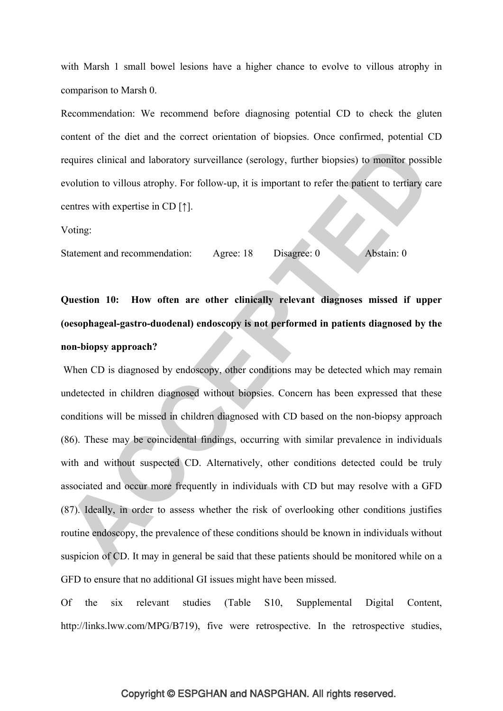with Marsh 1 small bowel lesions have a higher chance to evolve to villous atrophy in comparison to Marsh 0.

Recommendation: We recommend before diagnosing potential CD to check the gluten content of the diet and the correct orientation of biopsies. Once confirmed, potential CD requires clinical and laboratory surveillance (serology, further biopsies) to monitor possible evolution to villous atrophy. For follow-up, it is important to refer the patient to tertiary care centres with expertise in CD [↑].

Voting:

Statement and recommendation: Agree: 18 Disagree: 0 Abstain: 0

**Question 10: How often are other clinically relevant diagnoses missed if upper (oesophageal-gastro-duodenal) endoscopy is not performed in patients diagnosed by the non-biopsy approach?** 

When CD is diagnosed by endoscopy, other conditions may be detected which may remain undetected in children diagnosed without biopsies. Concern has been expressed that these conditions will be missed in children diagnosed with CD based on the non-biopsy approach (86). These may be coincidental findings, occurring with similar prevalence in individuals with and without suspected CD. Alternatively, other conditions detected could be truly associated and occur more frequently in individuals with CD but may resolve with a GFD (87). Ideally, in order to assess whether the risk of overlooking other conditions justifies routine endoscopy, the prevalence of these conditions should be known in individuals without suspicion of CD. It may in general be said that these patients should be monitored while on a GFD to ensure that no additional GI issues might have been missed.

Of the six relevant studies (Table S10, Supplemental Digital Content, http://links.lww.com/MPG/B719), five were retrospective. In the retrospective studies,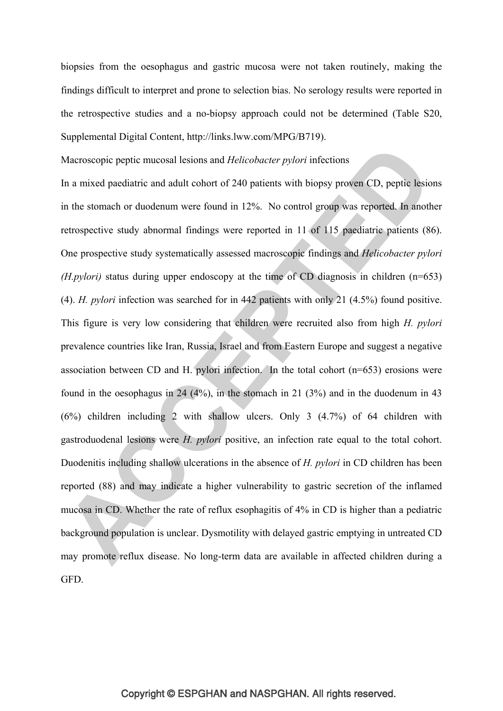biopsies from the oesophagus and gastric mucosa were not taken routinely, making the findings difficult to interpret and prone to selection bias. No serology results were reported in the retrospective studies and a no-biopsy approach could not be determined (Table S20, Supplemental Digital Content, http://links.lww.com/MPG/B719).

### Macroscopic peptic mucosal lesions and *Helicobacter pylori* infections

In a mixed paediatric and adult cohort of 240 patients with biopsy proven CD, peptic lesions in the stomach or duodenum were found in 12%. No control group was reported. In another retrospective study abnormal findings were reported in 11 of 115 paediatric patients (86). One prospective study systematically assessed macroscopic findings and *Helicobacter pylori (H.pylori)* status during upper endoscopy at the time of CD diagnosis in children (n=653) (4). *H. pylori* infection was searched for in 442 patients with only 21 (4.5%) found positive. This figure is very low considering that children were recruited also from high *H. pylori* prevalence countries like Iran, Russia, Israel and from Eastern Europe and suggest a negative association between CD and H. pylori infection. In the total cohort (n=653) erosions were found in the oesophagus in 24 (4%), in the stomach in 21 (3%) and in the duodenum in 43 (6%) children including 2 with shallow ulcers. Only 3 (4.7%) of 64 children with gastroduodenal lesions were *H. pylori* positive, an infection rate equal to the total cohort. Duodenitis including shallow ulcerations in the absence of *H. pylori* in CD children has been reported (88) and may indicate a higher vulnerability to gastric secretion of the inflamed mucosa in CD. Whether the rate of reflux esophagitis of 4% in CD is higher than a pediatric background population is unclear. Dysmotility with delayed gastric emptying in untreated CD may promote reflux disease. No long-term data are available in affected children during a GFD.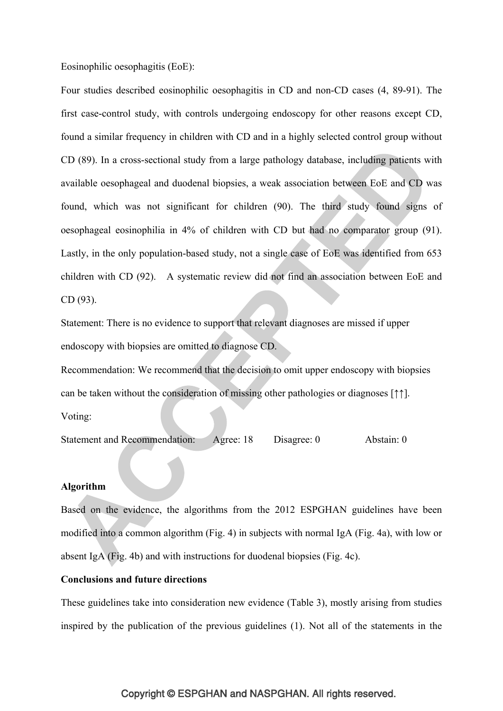Eosinophilic oesophagitis (EoE):

Four studies described eosinophilic oesophagitis in CD and non-CD cases (4, 89-91). The first case-control study, with controls undergoing endoscopy for other reasons except CD, found a similar frequency in children with CD and in a highly selected control group without CD (89). In a cross-sectional study from a large pathology database, including patients with available oesophageal and duodenal biopsies, a weak association between EoE and CD was found, which was not significant for children (90). The third study found signs of oesophageal eosinophilia in 4% of children with CD but had no comparator group (91). Lastly, in the only population-based study, not a single case of EoE was identified from 653 children with CD (92). A systematic review did not find an association between EoE and CD (93).

Statement: There is no evidence to support that relevant diagnoses are missed if upper endoscopy with biopsies are omitted to diagnose CD.

Recommendation: We recommend that the decision to omit upper endoscopy with biopsies can be taken without the consideration of missing other pathologies or diagnoses [↑↑]. Voting:

Statement and Recommendation: Agree: 18 Disagree: 0 Abstain: 0

### **Algorithm**

Based on the evidence, the algorithms from the 2012 ESPGHAN guidelines have been modified into a common algorithm (Fig. 4) in subjects with normal IgA (Fig. 4a), with low or absent IgA (Fig. 4b) and with instructions for duodenal biopsies (Fig. 4c).

### **Conclusions and future directions**

These guidelines take into consideration new evidence (Table 3), mostly arising from studies inspired by the publication of the previous guidelines (1). Not all of the statements in the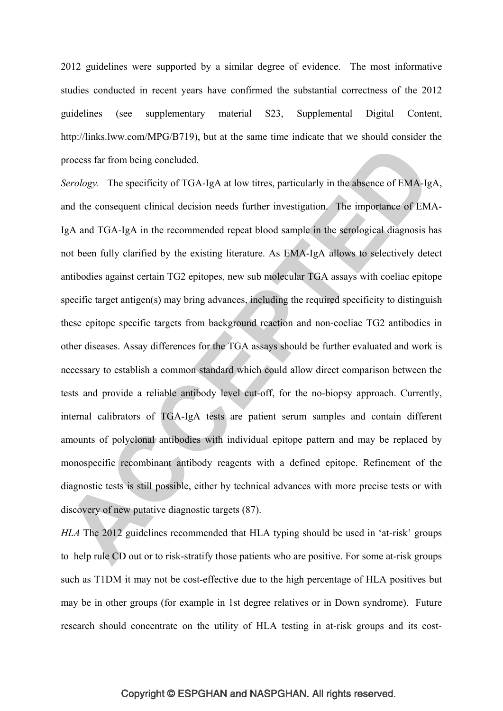2012 guidelines were supported by a similar degree of evidence. The most informative studies conducted in recent years have confirmed the substantial correctness of the 2012 guidelines (see supplementary material S23, Supplemental Digital Content, http://links.lww.com/MPG/B719), but at the same time indicate that we should consider the process far from being concluded.

*Serology.* The specificity of TGA-IgA at low titres, particularly in the absence of EMA-IgA, and the consequent clinical decision needs further investigation. The importance of EMA-IgA and TGA-IgA in the recommended repeat blood sample in the serological diagnosis has not been fully clarified by the existing literature. As EMA-IgA allows to selectively detect antibodies against certain TG2 epitopes, new sub molecular TGA assays with coeliac epitope specific target antigen(s) may bring advances, including the required specificity to distinguish these epitope specific targets from background reaction and non-coeliac TG2 antibodies in other diseases. Assay differences for the TGA assays should be further evaluated and work is necessary to establish a common standard which could allow direct comparison between the tests and provide a reliable antibody level cut-off, for the no-biopsy approach. Currently, internal calibrators of TGA-IgA tests are patient serum samples and contain different amounts of polyclonal antibodies with individual epitope pattern and may be replaced by monospecific recombinant antibody reagents with a defined epitope. Refinement of the diagnostic tests is still possible, either by technical advances with more precise tests or with discovery of new putative diagnostic targets (87).

*HLA* The 2012 guidelines recommended that HLA typing should be used in 'at-risk' groups to help rule CD out or to risk-stratify those patients who are positive. For some at-risk groups such as T1DM it may not be cost-effective due to the high percentage of HLA positives but may be in other groups (for example in 1st degree relatives or in Down syndrome). Future research should concentrate on the utility of HLA testing in at-risk groups and its cost-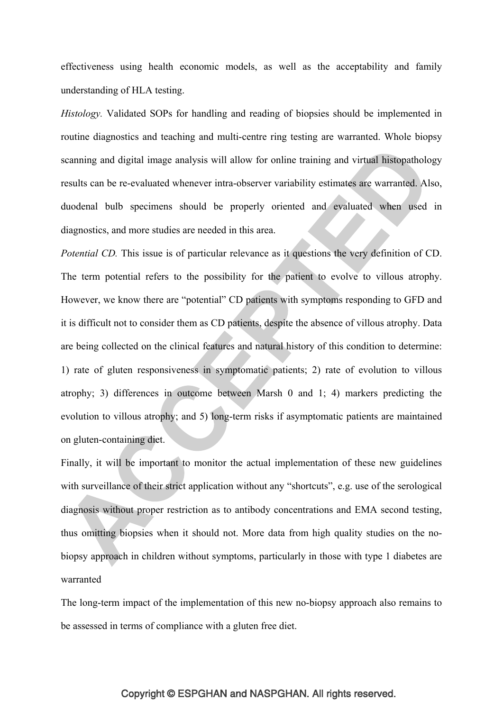effectiveness using health economic models, as well as the acceptability and family understanding of HLA testing.

*Histology.* Validated SOPs for handling and reading of biopsies should be implemented in routine diagnostics and teaching and multi-centre ring testing are warranted. Whole biopsy scanning and digital image analysis will allow for online training and virtual histopathology results can be re-evaluated whenever intra-observer variability estimates are warranted. Also, duodenal bulb specimens should be properly oriented and evaluated when used in diagnostics, and more studies are needed in this area.

*Potential CD.* This issue is of particular relevance as it questions the very definition of CD. The term potential refers to the possibility for the patient to evolve to villous atrophy. However, we know there are "potential" CD patients with symptoms responding to GFD and it is difficult not to consider them as CD patients, despite the absence of villous atrophy. Data are being collected on the clinical features and natural history of this condition to determine: 1) rate of gluten responsiveness in symptomatic patients; 2) rate of evolution to villous atrophy; 3) differences in outcome between Marsh 0 and 1; 4) markers predicting the evolution to villous atrophy; and 5) long-term risks if asymptomatic patients are maintained on gluten-containing diet.

Finally, it will be important to monitor the actual implementation of these new guidelines with surveillance of their strict application without any "shortcuts", e.g. use of the serological diagnosis without proper restriction as to antibody concentrations and EMA second testing, thus omitting biopsies when it should not. More data from high quality studies on the nobiopsy approach in children without symptoms, particularly in those with type 1 diabetes are warranted

The long-term impact of the implementation of this new no-biopsy approach also remains to be assessed in terms of compliance with a gluten free diet.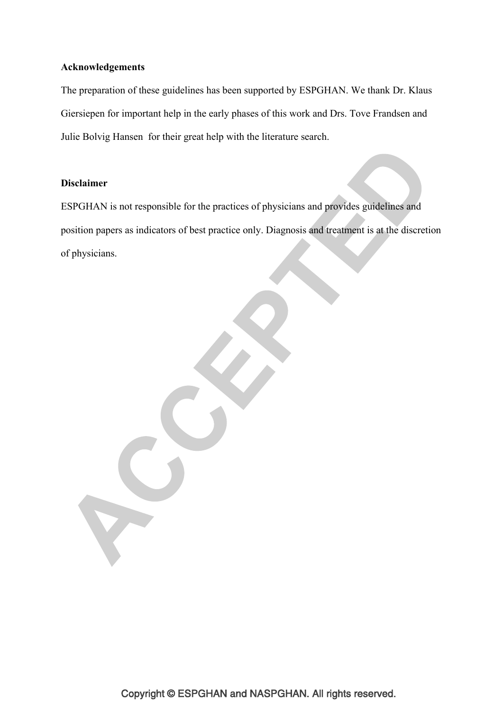### **Acknowledgements**

The preparation of these guidelines has been supported by ESPGHAN. We thank Dr. Klaus Giersiepen for important help in the early phases of this work and Drs. Tove Frandsen and Julie Bolvig Hansen for their great help with the literature search.

### **Disclaimer**

 $\mathbf{C}$ 

ESPGHAN is not responsible for the practices of physicians and provides guidelines and position papers as indicators of best practice only. Diagnosis and treatment is at the discretion of physicians.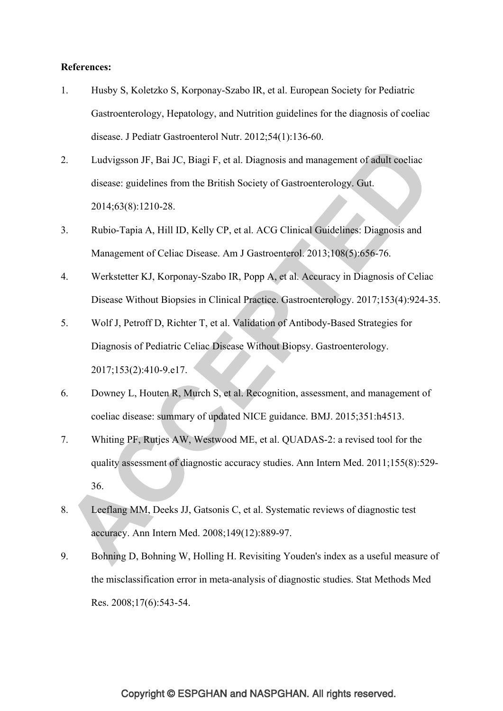### **References:**

- 1. Husby S, Koletzko S, Korponay-Szabo IR, et al. European Society for Pediatric Gastroenterology, Hepatology, and Nutrition guidelines for the diagnosis of coeliac disease. J Pediatr Gastroenterol Nutr. 2012;54(1):136-60.
- 2. Ludvigsson JF, Bai JC, Biagi F, et al. Diagnosis and management of adult coeliac disease: guidelines from the British Society of Gastroenterology. Gut. 2014;63(8):1210-28.
- 3. Rubio-Tapia A, Hill ID, Kelly CP, et al. ACG Clinical Guidelines: Diagnosis and Management of Celiac Disease. Am J Gastroenterol. 2013;108(5):656-76.
- 4. Werkstetter KJ, Korponay-Szabo IR, Popp A, et al. Accuracy in Diagnosis of Celiac Disease Without Biopsies in Clinical Practice. Gastroenterology. 2017;153(4):924-35.
- 5. Wolf J, Petroff D, Richter T, et al. Validation of Antibody-Based Strategies for Diagnosis of Pediatric Celiac Disease Without Biopsy. Gastroenterology. 2017;153(2):410-9.e17.
- 6. Downey L, Houten R, Murch S, et al. Recognition, assessment, and management of coeliac disease: summary of updated NICE guidance. BMJ. 2015;351:h4513.
- 7. Whiting PF, Rutjes AW, Westwood ME, et al. QUADAS-2: a revised tool for the quality assessment of diagnostic accuracy studies. Ann Intern Med. 2011;155(8):529- 36.
- 8. Leeflang MM, Deeks JJ, Gatsonis C, et al. Systematic reviews of diagnostic test accuracy. Ann Intern Med. 2008;149(12):889-97.
- 9. Bohning D, Bohning W, Holling H. Revisiting Youden's index as a useful measure of the misclassification error in meta-analysis of diagnostic studies. Stat Methods Med Res. 2008;17(6):543-54.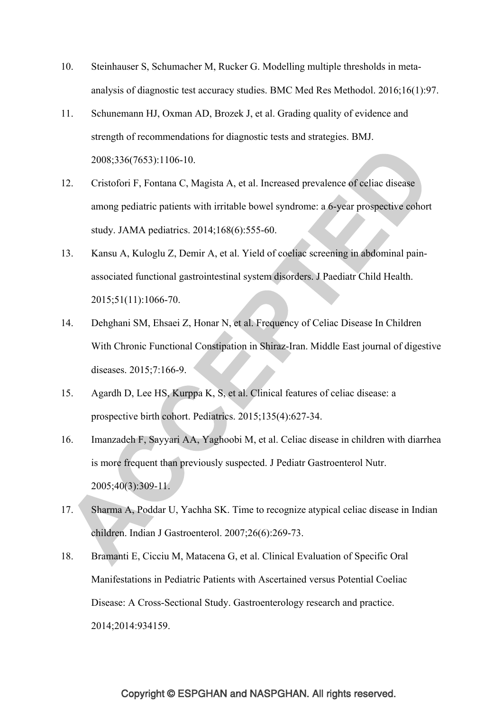- 10. Steinhauser S, Schumacher M, Rucker G. Modelling multiple thresholds in metaanalysis of diagnostic test accuracy studies. BMC Med Res Methodol. 2016;16(1):97.
- 11. Schunemann HJ, Oxman AD, Brozek J, et al. Grading quality of evidence and strength of recommendations for diagnostic tests and strategies. BMJ. 2008;336(7653):1106-10.
- 12. Cristofori F, Fontana C, Magista A, et al. Increased prevalence of celiac disease among pediatric patients with irritable bowel syndrome: a 6-year prospective cohort study. JAMA pediatrics. 2014;168(6):555-60.
- 13. Kansu A, Kuloglu Z, Demir A, et al. Yield of coeliac screening in abdominal painassociated functional gastrointestinal system disorders. J Paediatr Child Health. 2015;51(11):1066-70.
- 14. Dehghani SM, Ehsaei Z, Honar N, et al. Frequency of Celiac Disease In Children With Chronic Functional Constipation in Shiraz-Iran. Middle East journal of digestive diseases. 2015;7:166-9.
- 15. Agardh D, Lee HS, Kurppa K, S, et al. Clinical features of celiac disease: a prospective birth cohort. Pediatrics. 2015;135(4):627-34.
- 16. Imanzadeh F, Sayyari AA, Yaghoobi M, et al. Celiac disease in children with diarrhea is more frequent than previously suspected. J Pediatr Gastroenterol Nutr. 2005;40(3):309-11.
- 17. Sharma A, Poddar U, Yachha SK. Time to recognize atypical celiac disease in Indian children. Indian J Gastroenterol. 2007;26(6):269-73.
- 18. Bramanti E, Cicciu M, Matacena G, et al. Clinical Evaluation of Specific Oral Manifestations in Pediatric Patients with Ascertained versus Potential Coeliac Disease: A Cross-Sectional Study. Gastroenterology research and practice. 2014;2014:934159.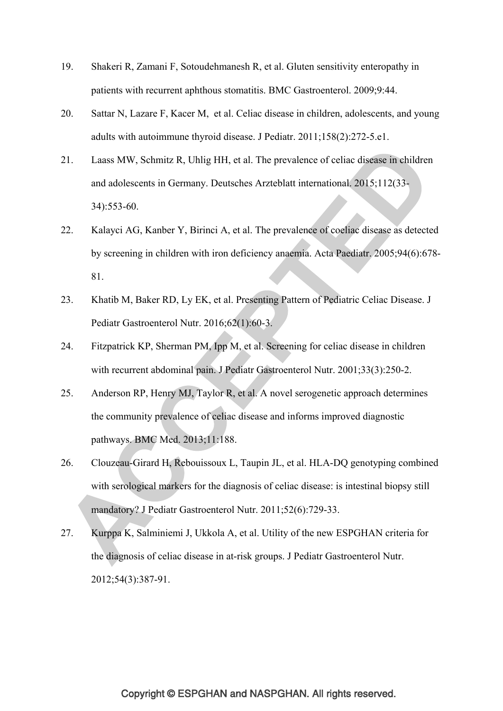- 19. Shakeri R, Zamani F, Sotoudehmanesh R, et al. Gluten sensitivity enteropathy in patients with recurrent aphthous stomatitis. BMC Gastroenterol. 2009;9:44.
- 20. Sattar N, Lazare F, Kacer M, et al. Celiac disease in children, adolescents, and young adults with autoimmune thyroid disease. J Pediatr. 2011;158(2):272-5.e1.
- 21. Laass MW, Schmitz R, Uhlig HH, et al. The prevalence of celiac disease in children and adolescents in Germany. Deutsches Arzteblatt international. 2015;112(33- 34):553-60.
- 22. Kalayci AG, Kanber Y, Birinci A, et al. The prevalence of coeliac disease as detected by screening in children with iron deficiency anaemia. Acta Paediatr. 2005;94(6):678- 81.
- 23. Khatib M, Baker RD, Ly EK, et al. Presenting Pattern of Pediatric Celiac Disease. J Pediatr Gastroenterol Nutr. 2016;62(1):60-3.
- 24. Fitzpatrick KP, Sherman PM, Ipp M, et al. Screening for celiac disease in children with recurrent abdominal pain. J Pediatr Gastroenterol Nutr. 2001;33(3):250-2.
- 25. Anderson RP, Henry MJ, Taylor R, et al. A novel serogenetic approach determines the community prevalence of celiac disease and informs improved diagnostic pathways. BMC Med. 2013;11:188.
- 26. Clouzeau-Girard H, Rebouissoux L, Taupin JL, et al. HLA-DQ genotyping combined with serological markers for the diagnosis of celiac disease: is intestinal biopsy still mandatory? J Pediatr Gastroenterol Nutr. 2011;52(6):729-33.
- 27. Kurppa K, Salminiemi J, Ukkola A, et al. Utility of the new ESPGHAN criteria for the diagnosis of celiac disease in at-risk groups. J Pediatr Gastroenterol Nutr. 2012;54(3):387-91.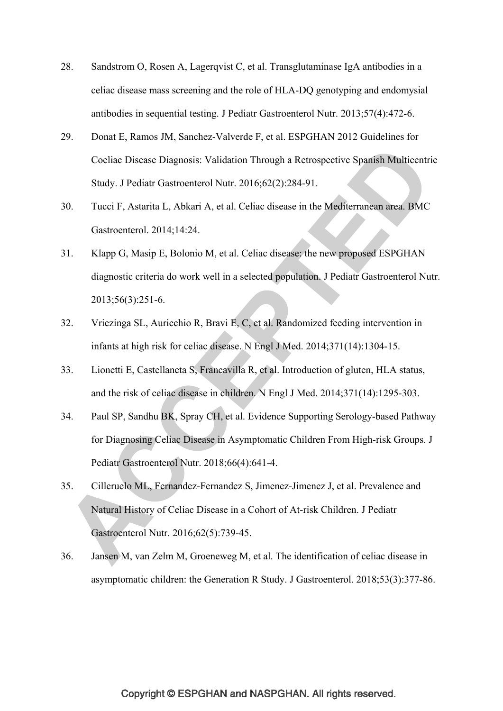- 28. Sandstrom O, Rosen A, Lagerqvist C, et al. Transglutaminase IgA antibodies in a celiac disease mass screening and the role of HLA-DQ genotyping and endomysial antibodies in sequential testing. J Pediatr Gastroenterol Nutr. 2013;57(4):472-6.
- 29. Donat E, Ramos JM, Sanchez-Valverde F, et al. ESPGHAN 2012 Guidelines for Coeliac Disease Diagnosis: Validation Through a Retrospective Spanish Multicentric Study. J Pediatr Gastroenterol Nutr. 2016;62(2):284-91.
- 30. Tucci F, Astarita L, Abkari A, et al. Celiac disease in the Mediterranean area. BMC Gastroenterol. 2014;14:24.
- 31. Klapp G, Masip E, Bolonio M, et al. Celiac disease: the new proposed ESPGHAN diagnostic criteria do work well in a selected population. J Pediatr Gastroenterol Nutr. 2013;56(3):251-6.
- 32. Vriezinga SL, Auricchio R, Bravi E, C, et al. Randomized feeding intervention in infants at high risk for celiac disease. N Engl J Med. 2014;371(14):1304-15.
- 33. Lionetti E, Castellaneta S, Francavilla R, et al. Introduction of gluten, HLA status, and the risk of celiac disease in children. N Engl J Med. 2014;371(14):1295-303.
- 34. Paul SP, Sandhu BK, Spray CH, et al. Evidence Supporting Serology-based Pathway for Diagnosing Celiac Disease in Asymptomatic Children From High-risk Groups. J Pediatr Gastroenterol Nutr. 2018;66(4):641-4.
- 35. Cilleruelo ML, Fernandez-Fernandez S, Jimenez-Jimenez J, et al. Prevalence and Natural History of Celiac Disease in a Cohort of At-risk Children. J Pediatr Gastroenterol Nutr. 2016;62(5):739-45.
- 36. Jansen M, van Zelm M, Groeneweg M, et al. The identification of celiac disease in asymptomatic children: the Generation R Study. J Gastroenterol. 2018;53(3):377-86.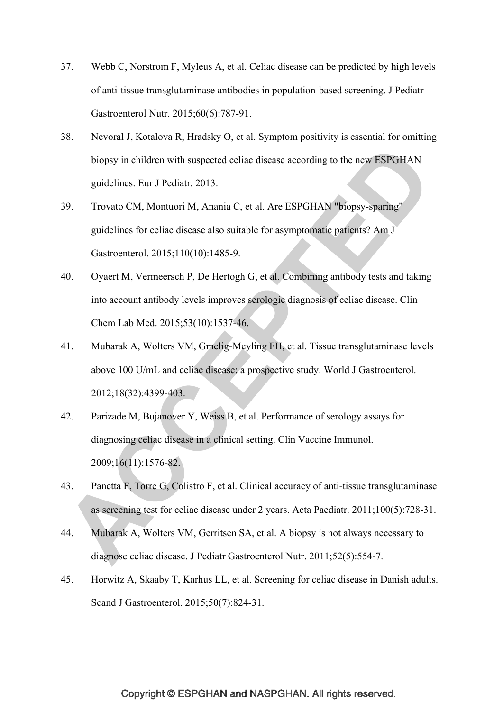- 37. Webb C, Norstrom F, Myleus A, et al. Celiac disease can be predicted by high levels of anti-tissue transglutaminase antibodies in population-based screening. J Pediatr Gastroenterol Nutr. 2015;60(6):787-91.
- 38. Nevoral J, Kotalova R, Hradsky O, et al. Symptom positivity is essential for omitting biopsy in children with suspected celiac disease according to the new ESPGHAN guidelines. Eur J Pediatr. 2013.
- 39. Trovato CM, Montuori M, Anania C, et al. Are ESPGHAN "biopsy-sparing" guidelines for celiac disease also suitable for asymptomatic patients? Am J Gastroenterol. 2015;110(10):1485-9.
- 40. Oyaert M, Vermeersch P, De Hertogh G, et al. Combining antibody tests and taking into account antibody levels improves serologic diagnosis of celiac disease. Clin Chem Lab Med. 2015;53(10):1537-46.
- 41. Mubarak A, Wolters VM, Gmelig-Meyling FH, et al. Tissue transglutaminase levels above 100 U/mL and celiac disease: a prospective study. World J Gastroenterol. 2012;18(32):4399-403.
- 42. Parizade M, Bujanover Y, Weiss B, et al. Performance of serology assays for diagnosing celiac disease in a clinical setting. Clin Vaccine Immunol. 2009;16(11):1576-82.
- 43. Panetta F, Torre G, Colistro F, et al. Clinical accuracy of anti-tissue transglutaminase as screening test for celiac disease under 2 years. Acta Paediatr. 2011;100(5):728-31.
- 44. Mubarak A, Wolters VM, Gerritsen SA, et al. A biopsy is not always necessary to diagnose celiac disease. J Pediatr Gastroenterol Nutr. 2011;52(5):554-7.
- 45. Horwitz A, Skaaby T, Karhus LL, et al. Screening for celiac disease in Danish adults. Scand J Gastroenterol. 2015;50(7):824-31.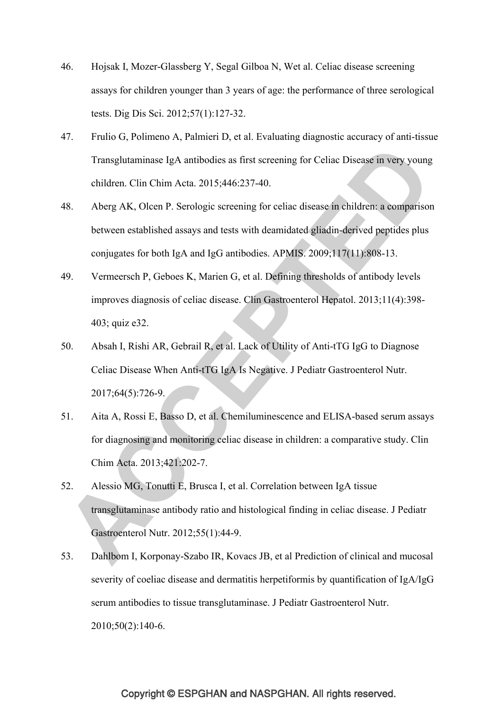- 46. Hojsak I, Mozer-Glassberg Y, Segal Gilboa N, Wet al. Celiac disease screening assays for children younger than 3 years of age: the performance of three serological tests. Dig Dis Sci. 2012;57(1):127-32.
- 47. Frulio G, Polimeno A, Palmieri D, et al. Evaluating diagnostic accuracy of anti-tissue Transglutaminase IgA antibodies as first screening for Celiac Disease in very young children. Clin Chim Acta. 2015;446:237-40.
- 48. Aberg AK, Olcen P. Serologic screening for celiac disease in children: a comparison between established assays and tests with deamidated gliadin-derived peptides plus conjugates for both IgA and IgG antibodies. APMIS. 2009;117(11):808-13.
- 49. Vermeersch P, Geboes K, Marien G, et al. Defining thresholds of antibody levels improves diagnosis of celiac disease. Clin Gastroenterol Hepatol. 2013;11(4):398- 403; quiz e32.
- 50. Absah I, Rishi AR, Gebrail R, et al. Lack of Utility of Anti-tTG IgG to Diagnose Celiac Disease When Anti-tTG IgA Is Negative. J Pediatr Gastroenterol Nutr. 2017;64(5):726-9.
- 51. Aita A, Rossi E, Basso D, et al. Chemiluminescence and ELISA-based serum assays for diagnosing and monitoring celiac disease in children: a comparative study. Clin Chim Acta. 2013;421:202-7.
- 52. Alessio MG, Tonutti E, Brusca I, et al. Correlation between IgA tissue transglutaminase antibody ratio and histological finding in celiac disease. J Pediatr Gastroenterol Nutr. 2012;55(1):44-9.
- 53. Dahlbom I, Korponay-Szabo IR, Kovacs JB, et al Prediction of clinical and mucosal severity of coeliac disease and dermatitis herpetiformis by quantification of IgA/IgG serum antibodies to tissue transglutaminase. J Pediatr Gastroenterol Nutr. 2010;50(2):140-6.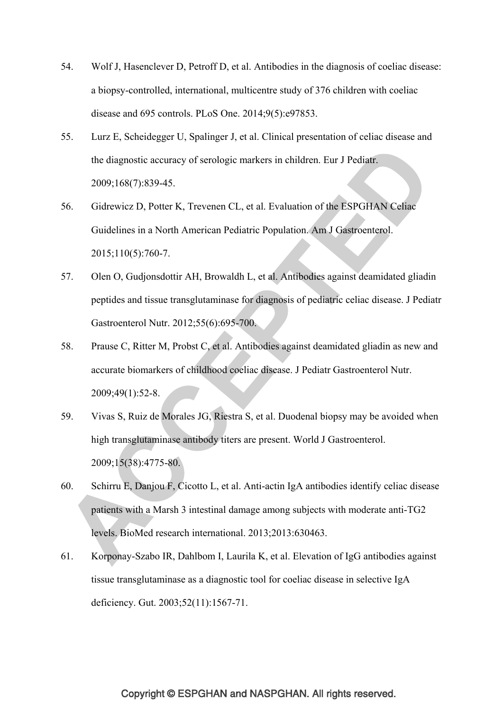- 54. Wolf J, Hasenclever D, Petroff D, et al. Antibodies in the diagnosis of coeliac disease: a biopsy-controlled, international, multicentre study of 376 children with coeliac disease and 695 controls. PLoS One. 2014;9(5):e97853.
- 55. Lurz E, Scheidegger U, Spalinger J, et al. Clinical presentation of celiac disease and the diagnostic accuracy of serologic markers in children. Eur J Pediatr. 2009;168(7):839-45.
- 56. Gidrewicz D, Potter K, Trevenen CL, et al. Evaluation of the ESPGHAN Celiac Guidelines in a North American Pediatric Population. Am J Gastroenterol. 2015;110(5):760-7.
- 57. Olen O, Gudjonsdottir AH, Browaldh L, et al. Antibodies against deamidated gliadin peptides and tissue transglutaminase for diagnosis of pediatric celiac disease. J Pediatr Gastroenterol Nutr. 2012;55(6):695-700.
- 58. Prause C, Ritter M, Probst C, et al. Antibodies against deamidated gliadin as new and accurate biomarkers of childhood coeliac disease. J Pediatr Gastroenterol Nutr. 2009;49(1):52-8.
- 59. Vivas S, Ruiz de Morales JG, Riestra S, et al. Duodenal biopsy may be avoided when high transglutaminase antibody titers are present. World J Gastroenterol. 2009;15(38):4775-80.
- 60. Schirru E, Danjou F, Cicotto L, et al. Anti-actin IgA antibodies identify celiac disease patients with a Marsh 3 intestinal damage among subjects with moderate anti-TG2 levels. BioMed research international. 2013;2013:630463.
- 61. Korponay-Szabo IR, Dahlbom I, Laurila K, et al. Elevation of IgG antibodies against tissue transglutaminase as a diagnostic tool for coeliac disease in selective IgA deficiency. Gut. 2003;52(11):1567-71.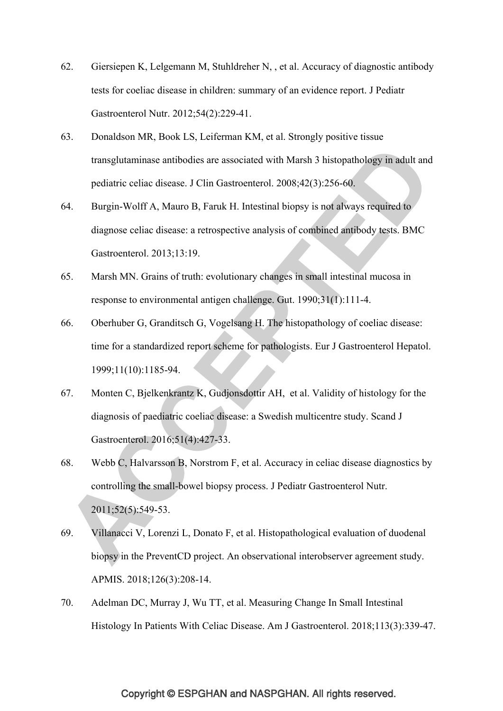- 62. Giersiepen K, Lelgemann M, Stuhldreher N, , et al. Accuracy of diagnostic antibody tests for coeliac disease in children: summary of an evidence report. J Pediatr Gastroenterol Nutr. 2012;54(2):229-41.
- 63. Donaldson MR, Book LS, Leiferman KM, et al. Strongly positive tissue transglutaminase antibodies are associated with Marsh 3 histopathology in adult and pediatric celiac disease. J Clin Gastroenterol. 2008;42(3):256-60.
- 64. Burgin-Wolff A, Mauro B, Faruk H. Intestinal biopsy is not always required to diagnose celiac disease: a retrospective analysis of combined antibody tests. BMC Gastroenterol. 2013;13:19.
- 65. Marsh MN. Grains of truth: evolutionary changes in small intestinal mucosa in response to environmental antigen challenge. Gut. 1990;31(1):111-4.
- 66. Oberhuber G, Granditsch G, Vogelsang H. The histopathology of coeliac disease: time for a standardized report scheme for pathologists. Eur J Gastroenterol Hepatol. 1999;11(10):1185-94.
- 67. Monten C, Bjelkenkrantz K, Gudjonsdottir AH, et al. Validity of histology for the diagnosis of paediatric coeliac disease: a Swedish multicentre study. Scand J Gastroenterol. 2016;51(4):427-33.
- 68. Webb C, Halvarsson B, Norstrom F, et al. Accuracy in celiac disease diagnostics by controlling the small-bowel biopsy process. J Pediatr Gastroenterol Nutr. 2011;52(5):549-53.
- 69. Villanacci V, Lorenzi L, Donato F, et al. Histopathological evaluation of duodenal biopsy in the PreventCD project. An observational interobserver agreement study. APMIS. 2018;126(3):208-14.
- 70. Adelman DC, Murray J, Wu TT, et al. Measuring Change In Small Intestinal Histology In Patients With Celiac Disease. Am J Gastroenterol. 2018;113(3):339-47.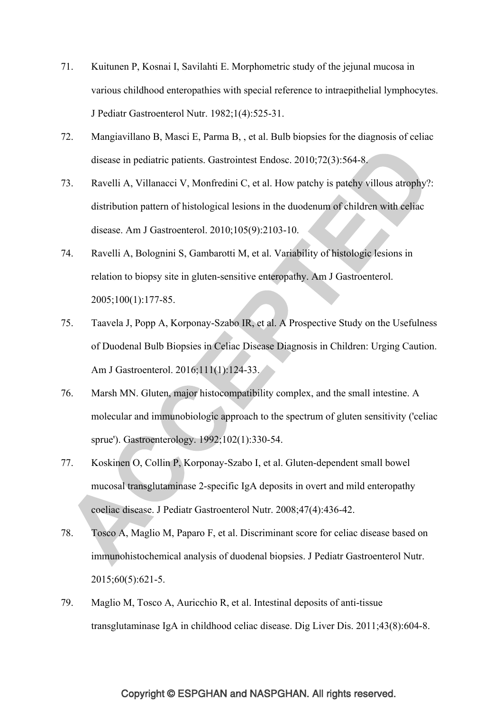- 71. Kuitunen P, Kosnai I, Savilahti E. Morphometric study of the jejunal mucosa in various childhood enteropathies with special reference to intraepithelial lymphocytes. J Pediatr Gastroenterol Nutr. 1982;1(4):525-31.
- 72. Mangiavillano B, Masci E, Parma B, , et al. Bulb biopsies for the diagnosis of celiac disease in pediatric patients. Gastrointest Endosc. 2010;72(3):564-8.
- 73. Ravelli A, Villanacci V, Monfredini C, et al. How patchy is patchy villous atrophy?: distribution pattern of histological lesions in the duodenum of children with celiac disease. Am J Gastroenterol. 2010;105(9):2103-10.
- 74. Ravelli A, Bolognini S, Gambarotti M, et al. Variability of histologic lesions in relation to biopsy site in gluten-sensitive enteropathy. Am J Gastroenterol. 2005;100(1):177-85.
- 75. Taavela J, Popp A, Korponay-Szabo IR, et al. A Prospective Study on the Usefulness of Duodenal Bulb Biopsies in Celiac Disease Diagnosis in Children: Urging Caution. Am J Gastroenterol. 2016;111(1):124-33.
- 76. Marsh MN. Gluten, major histocompatibility complex, and the small intestine. A molecular and immunobiologic approach to the spectrum of gluten sensitivity ('celiac sprue'). Gastroenterology. 1992;102(1):330-54.
- 77. Koskinen O, Collin P, Korponay-Szabo I, et al. Gluten-dependent small bowel mucosal transglutaminase 2-specific IgA deposits in overt and mild enteropathy coeliac disease. J Pediatr Gastroenterol Nutr. 2008;47(4):436-42.
- 78. Tosco A, Maglio M, Paparo F, et al. Discriminant score for celiac disease based on immunohistochemical analysis of duodenal biopsies. J Pediatr Gastroenterol Nutr. 2015;60(5):621-5.
- 79. Maglio M, Tosco A, Auricchio R, et al. Intestinal deposits of anti-tissue transglutaminase IgA in childhood celiac disease. Dig Liver Dis. 2011;43(8):604-8.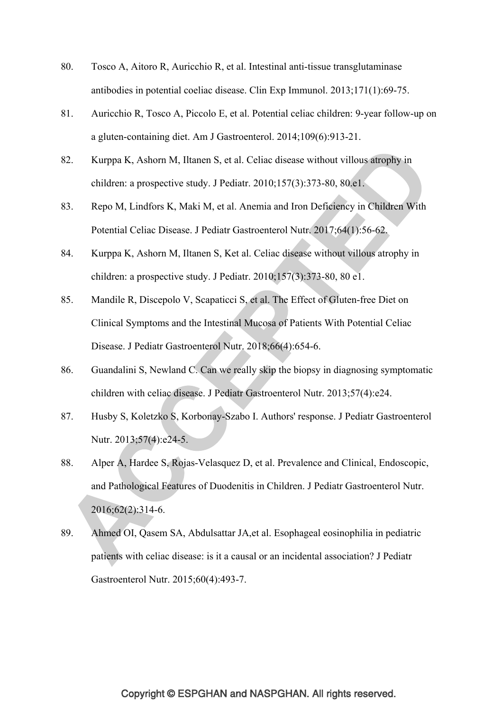- 80. Tosco A, Aitoro R, Auricchio R, et al. Intestinal anti-tissue transglutaminase antibodies in potential coeliac disease. Clin Exp Immunol. 2013;171(1):69-75.
- 81. Auricchio R, Tosco A, Piccolo E, et al. Potential celiac children: 9-year follow-up on a gluten-containing diet. Am J Gastroenterol. 2014;109(6):913-21.
- 82. Kurppa K, Ashorn M, Iltanen S, et al. Celiac disease without villous atrophy in children: a prospective study. J Pediatr. 2010;157(3):373-80, 80.e1.
- 83. Repo M, Lindfors K, Maki M, et al. Anemia and Iron Deficiency in Children With Potential Celiac Disease. J Pediatr Gastroenterol Nutr. 2017;64(1):56-62.
- 84. Kurppa K, Ashorn M, Iltanen S, Ket al. Celiac disease without villous atrophy in children: a prospective study. J Pediatr. 2010;157(3):373-80, 80 e1.
- 85. Mandile R, Discepolo V, Scapaticci S, et al. The Effect of Gluten-free Diet on Clinical Symptoms and the Intestinal Mucosa of Patients With Potential Celiac Disease. J Pediatr Gastroenterol Nutr. 2018;66(4):654-6.
- 86. Guandalini S, Newland C. Can we really skip the biopsy in diagnosing symptomatic children with celiac disease. J Pediatr Gastroenterol Nutr. 2013;57(4):e24.
- 87. Husby S, Koletzko S, Korbonay-Szabo I. Authors' response. J Pediatr Gastroenterol Nutr. 2013;57(4):e24-5.
- 88. Alper A, Hardee S, Rojas-Velasquez D, et al. Prevalence and Clinical, Endoscopic, and Pathological Features of Duodenitis in Children. J Pediatr Gastroenterol Nutr. 2016;62(2):314-6.
- 89. Ahmed OI, Qasem SA, Abdulsattar JA,et al. Esophageal eosinophilia in pediatric patients with celiac disease: is it a causal or an incidental association? J Pediatr Gastroenterol Nutr. 2015;60(4):493-7.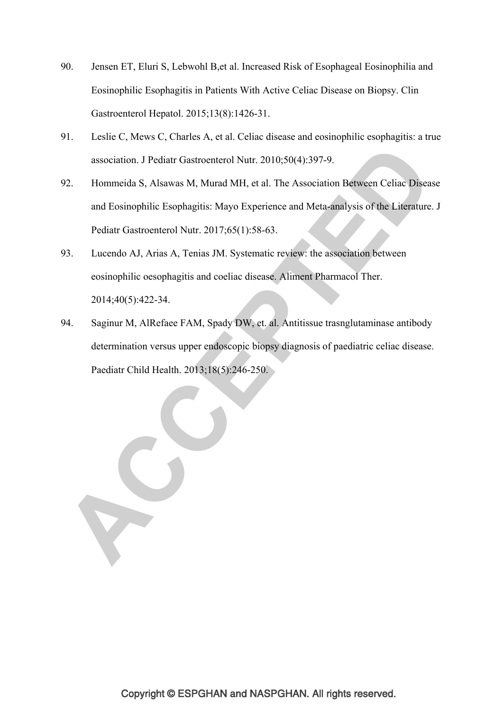- 90. Jensen ET, Eluri S, Lebwohl B,et al. Increased Risk of Esophageal Eosinophilia and Eosinophilic Esophagitis in Patients With Active Celiac Disease on Biopsy. Clin Gastroenterol Hepatol. 2015;13(8):1426-31.
- 91. Leslie C, Mews C, Charles A, et al. Celiac disease and eosinophilic esophagitis: a true association. J Pediatr Gastroenterol Nutr. 2010;50(4):397-9.
- 92. Hommeida S, Alsawas M, Murad MH, et al. The Association Between Celiac Disease and Eosinophilic Esophagitis: Mayo Experience and Meta-analysis of the Literature. J Pediatr Gastroenterol Nutr. 2017;65(1):58-63.
- 93. Lucendo AJ, Arias A, Tenias JM. Systematic review: the association between eosinophilic oesophagitis and coeliac disease. Aliment Pharmacol Ther. 2014;40(5):422-34.
- 94. Saginur M, AlRefaee FAM, Spady DW, et. al. Antitissue trasnglutaminase antibody determination versus upper endoscopic biopsy diagnosis of paediatric celiac disease. Paediatr Child Health. 2013;18(5):246-250.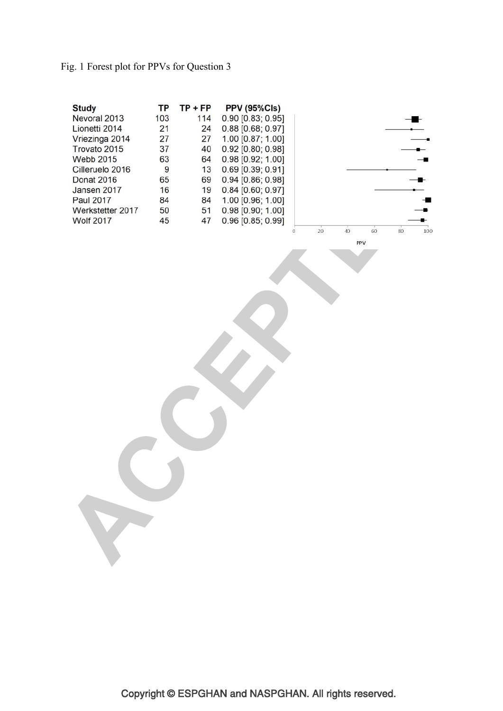## Fig. 1 Forest plot for PPVs for Question 3

| <b>Study</b>     | ΤР  | TP + FP | <b>PPV (95%Cls)</b> |         |
|------------------|-----|---------|---------------------|---------|
| Nevoral 2013     | 103 | 114     | 0.90 [0.83; 0.95]   |         |
| Lionetti 2014    | 21  | 24      | 0.88 [0.68; 0.97]   |         |
| Vriezinga 2014   | 27  | 27      | 1.00 [0.87; 1.00]   |         |
| Trovato 2015     | 37  | 40      | 0.92 [0.80; 0.98]   |         |
| Webb 2015        | 63  | 64      | 0.98 [0.92; 1.00]   |         |
| Cilleruelo 2016  | 9   | 13      | 0.69 [0.39; 0.91]   |         |
| Donat 2016       | 65  | 69      | 0.94 [0.86; 0.98]   |         |
| Jansen 2017      | 16  | 19      | $0.84$ [0.60; 0.97] |         |
| Paul 2017        | 84  | 84      | 1.00 [0.96; 1.00]   |         |
| Werkstetter 2017 | 50  | 51      | 0.98 [0.90; 1.00]   |         |
| <b>Wolf 2017</b> | 45  | 47      | 0.96 [0.85; 0.99]   |         |
|                  |     |         |                     | 20<br>o |

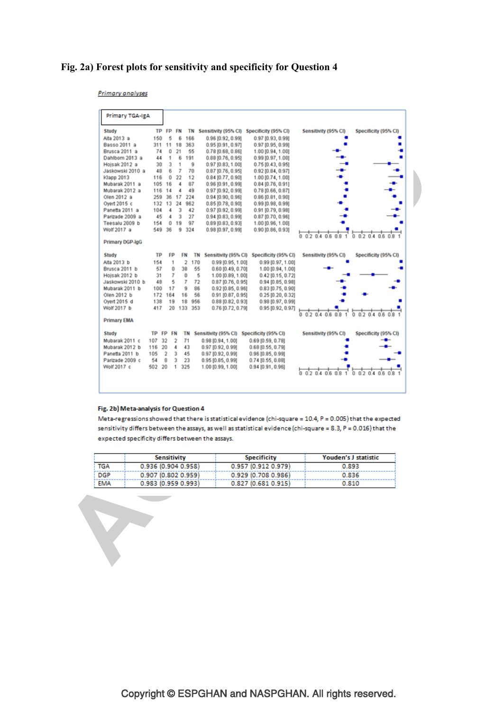### **Fig. 2a) Forest plots for sensitivity and specificity for Question 4**

**Primary analyses** 

| Primary TGA-IgA    |       |                |                |                       |                                           |                                           |                        |                              |
|--------------------|-------|----------------|----------------|-----------------------|-------------------------------------------|-------------------------------------------|------------------------|------------------------------|
| Study              |       | TP FP FN       |                | TN                    | Sensitivity (95% CI)                      | Specificity (95% CI)                      | Sensitivity (95% CI)   | Specificity (95% CI)         |
| Alta 2013 a        | 150   | 5              | 6              | 166                   | 0.96 (0.92, 0.99)                         | 0.97 (0.93, 0.99)                         |                        |                              |
| Basso 2011 a       |       | 311 11 18      |                | 363                   | 0.95 [0.91, 0.97]                         | 0.97 (0.95, 0.99)                         |                        |                              |
| Brusca 2011 a      | 74    | 0              | 21             | 65                    | 0.78[0.68, 0.86]                          | 1.00 (0.94, 1.00)                         |                        |                              |
| Dahlbom 2013 a     | 44    | 1              | 6              | 191                   | $0.88$ [0.76, 0.95]                       | 0.99 (0.97, 1.00)                         |                        |                              |
| Hojsak 2012 a      | 30    | 3              | 1              | 9                     | $0.97$ [0.83, 1.00]                       | 0.75[0.43, 0.95]                          |                        |                              |
| Jaskowski 2010 a   | 48    | 6              | 7              | 70                    | $0.87$ [0.76, 0.95]                       | 0.92 (0.84, 0.97)                         |                        |                              |
| Klapp 2013         | 116   | 0              | 22             | 12                    | 0.84 [0.77, 0.90]                         | 1.00 (0.74, 1.00)                         |                        |                              |
| Mubarak 2011 a     | 105   | 16             | 4              | 87                    | 0.96 (0.91, 0.99)                         | 0.84 (0.76, 0.91)                         |                        |                              |
| Mubarak 2012 a     | 116   | 14             | 4              | 49                    | 0.97 [0.92, 0.99]                         | $0.78$ [0.66, 0.87]                       |                        |                              |
| Olen 2012 a        | 259   |                | 36 17          | 224                   | 0.94 [0.90, 0.96]                         | $0.86$ [0.81, 0.90]                       |                        |                              |
| Oyert 2015 c       | 132   | 13             | 24             | 962                   | 0.85 [0.78, 0.90]                         | 0.99 (0.98, 0.99)                         |                        |                              |
| Panetta 2011 a     | 104   | 4              | 3              | 42                    | 0.97 [0.92, 0.99]                         | $0.91$ [0.79, 0.98]                       |                        |                              |
| Parizade 2009 a    | 45    | 4              | 3              | 27                    | 0.94 [0.83, 0.99]                         | $0.87$ [0.70, 0.96]                       |                        |                              |
| Teesalu 2009 b     | 154   | Ű.             | 19             | 97                    | 0.89 (0.83, 0.93)                         | 1.00 (0.96, 1.00)                         |                        |                              |
| Wolf 2017 a        | 549   | 36             | ğ              | 324                   | 0.98[0.97, 0.99]                          | 0.90 (0.86, 0.93)                         |                        |                              |
| Primary DGP-IgG    |       |                |                |                       |                                           |                                           | 0.20406081             | 0.020408081                  |
| Study              | TP    | FP             |                | FN<br>TN              |                                           | Sensitivity (95% CI) Specificity (95% CI) | Sensitivity (95% CI)   | Specificity (95% CI)         |
| Alta 2013 b        | 154   | 1              |                | $\overline{2}$<br>170 | 0.99 (0.95, 1.00)                         | 0.99 (0.97, 1.00)                         |                        |                              |
| Brusca 2011 b      | 57    | 0              |                | 38<br>55              | 0.60 [0.49, 0.70]                         | 1.00 [0.94, 1.00]                         |                        |                              |
| Hojsak 2012 b      | 31    | 7              |                | o<br>5                | 1.00 [0.89, 1.00]                         | 0.42 (0.15, 0.72)                         |                        |                              |
| Jaskowski 2010 b   | 48    | 5              |                | 7<br>72               | $0.87$ [0.76, 0.95]                       | $0.94$ [0.85, 0.98]                       |                        |                              |
| Mubarak 2011 b     | 100   | 17             |                | 86<br>g               | 0.92 [0.85, 0.96]                         | $0.83$ [0.75, 0.90]                       |                        |                              |
| Olen 2012 b        | 172   | 164            |                | 16<br>56              | 0.91 [0.87, 0.95]                         | 0.25 (0.20, 0.32)                         |                        |                              |
| Overt 2015 d       | 138   | 19             |                | 18<br>956             | 0.88 [0.82, 0.93]                         | $0.98$ [0.97, 0.99]                       |                        |                              |
| Wolf 2017 b        | 417   | 20             | 133            | 353                   | 0.76 [0.72, 0.79]                         | 0.95 [0.92, 0.97]                         |                        |                              |
| <b>Primary EMA</b> |       |                |                |                       |                                           |                                           | 0.2, 0.4, 0.6, 0.8, 1. | 0.20.406081                  |
| Study              | TP FP |                | FN             | TN                    | Sensitivity (95% CI) Specificity (95% CI) |                                           | Sensitivity (95% CI)   | Specificity (95% CI)         |
| Mubarak 2011 c     | 107   | 32             | $\mathfrak{p}$ | 71                    | 0.98 [0.94, 1.00]                         | 0.69 (0.59, 0.78)                         |                        | -                            |
| Mubarak 2012 b     | 116   | 20             | 4              | 43                    | 0.97 [0.92, 0.99]                         | 0.68 10.55, 0.791                         |                        |                              |
| Panetta 2011 b     | 105   | $\overline{2}$ | 3              | 45                    | 0.97 [0.92, 0.99]                         | 0.96 [0.85, 0.99]                         |                        |                              |
| Parizade 2009 c    | 54    | 8              | 3              | 23                    | 0.95 [0.85, 0.99]                         | 0.74 (0.55, 0.88)                         |                        |                              |
| Wolf 2017 c        | 502   | 20             | 1              | 325                   | 1.00 [0.99, 1.00]                         | 0.94[0.91, 0.96]                          | 0.20408081             | 0, 0, 2, 0, 4, 0, 6, 0, 8, 1 |
|                    |       |                |                |                       |                                           |                                           |                        |                              |

#### Fig. 2b) Meta-analysis for Question 4

T

Meta-regressions showed that there is statistical evidence (chi-square =  $10.4$ ,  $P = 0.005$ ) that the expected sensitivity differs between the assays, as well as statistical evidence (chi-square = 8.3, P = 0.016) that the expected specificity differs between the assays.

|            | Sensitivity           | <b>Specificity</b> | Youden's J statistic |
|------------|-----------------------|--------------------|----------------------|
| <b>TGA</b> | 0.936(0.9040.958)     | 0.957(0.9120.979)  | 0.893                |
| <b>DGP</b> | $0.907$ (0.802 0.959) | 0.929(0.7080.986)  | 0.836                |
| <b>EMA</b> | 0.983(0.9590.993)     | 0.827(0.6810.915)  | 0.810                |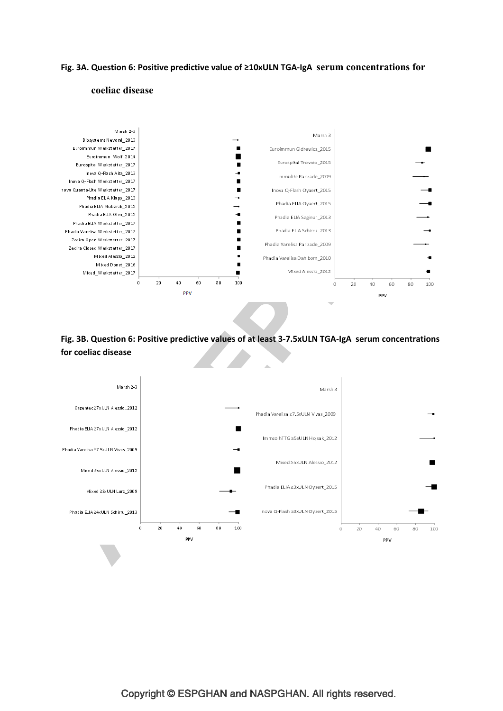### **Fig. 3A. Question 6: Positive predictive value of ≥10xULN TGA-IgA serum concentrations for**



#### **coeliac disease**



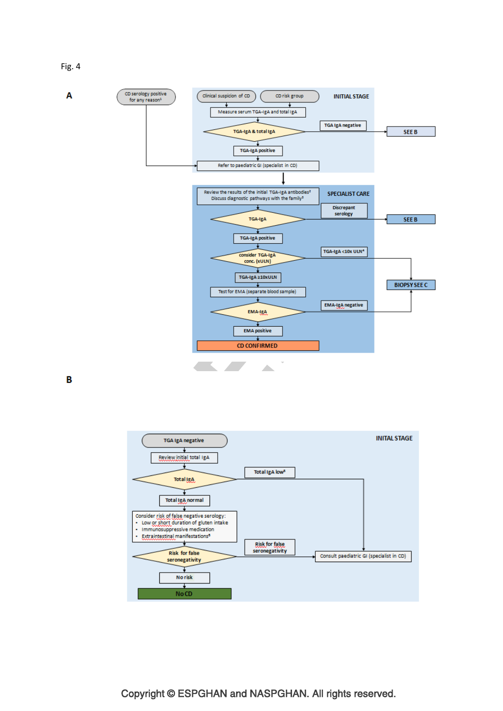Fig. 4



B

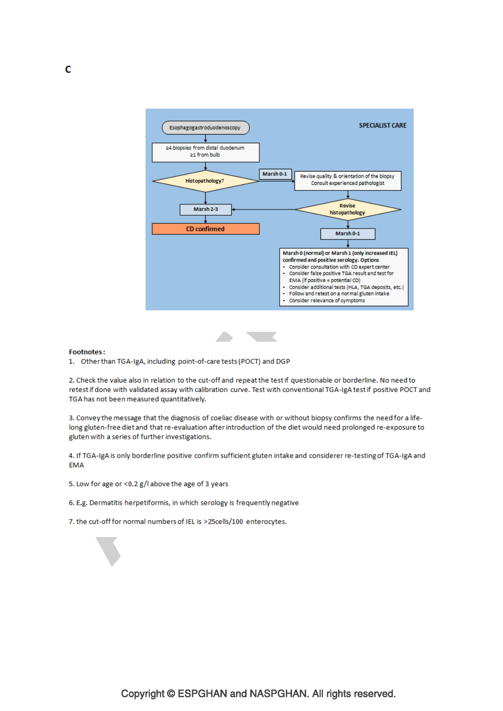



#### **Footnotes:**

1. Other than TGA-IgA, including point-of-care tests (POCT) and DGP

2. Check the value also in relation to the cut-off and repeat the test if questionable or borderline. No need to retest if done with validated assay with calibration curve. Test with conventional TGA-IgA test if positive POCT and TGA has not been measured quantitatively.

3. Convey the message that the diagnosis of coeliac disease with or without biopsy confirms the need for a lifelong gluten-free diet and that re-evaluation after introduction of the diet would need prolonged re-exposure to gluten with a series of further investigations.

4. If TGA-IgA is only borderline positive confirm sufficient gluten intake and considerer re-testing of TGA-IgA and **EMA** 

- 5. Low for age or <0.2 g/l above the age of 3 years
- 6. E.g. Dermatitis herpetiformis, in which serology is frequently negative
- 7. the cut-off for normal numbers of IEL is >25cells/100 enterocytes.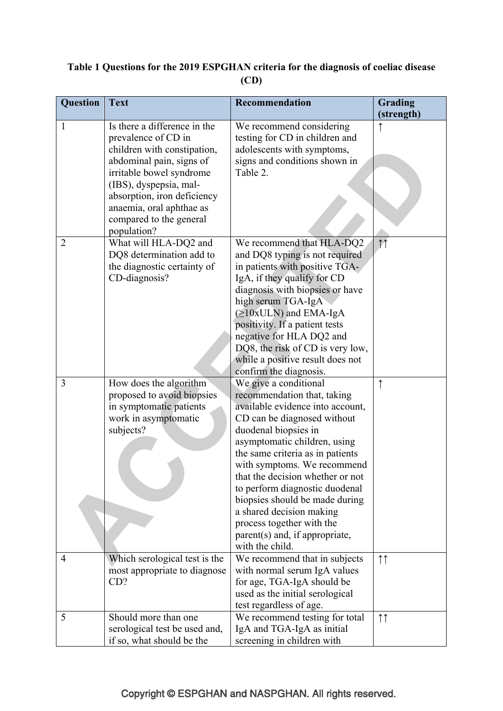## **Table 1 Questions for the 2019 ESPGHAN criteria for the diagnosis of coeliac disease (CD)**

| Question       | <b>Text</b>                   | Recommendation                   | Grading            |
|----------------|-------------------------------|----------------------------------|--------------------|
|                |                               |                                  | (strength)         |
| 1              | Is there a difference in the  | We recommend considering         |                    |
|                | prevalence of CD in           | testing for CD in children and   |                    |
|                | children with constipation,   | adolescents with symptoms,       |                    |
|                | abdominal pain, signs of      | signs and conditions shown in    |                    |
|                | irritable bowel syndrome      | Table 2.                         |                    |
|                | (IBS), dyspepsia, mal-        |                                  |                    |
|                | absorption, iron deficiency   |                                  |                    |
|                | anaemia, oral aphthae as      |                                  |                    |
|                | compared to the general       |                                  |                    |
|                | population?                   |                                  |                    |
| $\overline{2}$ | What will HLA-DQ2 and         | We recommend that HLA-DQ2        | 11                 |
|                | DQ8 determination add to      | and DQ8 typing is not required   |                    |
|                | the diagnostic certainty of   | in patients with positive TGA-   |                    |
|                | CD-diagnosis?                 | IgA, if they qualify for CD      |                    |
|                |                               | diagnosis with biopsies or have  |                    |
|                |                               | high serum TGA-IgA               |                    |
|                |                               | $(\geq 10xULN)$ and EMA-IgA      |                    |
|                |                               | positivity. If a patient tests   |                    |
|                |                               | negative for HLA DQ2 and         |                    |
|                |                               | DQ8, the risk of CD is very low, |                    |
|                |                               | while a positive result does not |                    |
|                |                               | confirm the diagnosis.           |                    |
| $\overline{3}$ | How does the algorithm        | We give a conditional            | $\uparrow$         |
|                | proposed to avoid biopsies    | recommendation that, taking      |                    |
|                | in symptomatic patients       | available evidence into account, |                    |
|                | work in asymptomatic          | CD can be diagnosed without      |                    |
|                | subjects?                     | duodenal biopsies in             |                    |
|                |                               | asymptomatic children, using     |                    |
|                |                               | the same criteria as in patients |                    |
|                |                               | with symptoms. We recommend      |                    |
|                |                               | that the decision whether or not |                    |
|                |                               | to perform diagnostic duodenal   |                    |
|                |                               | biopsies should be made during   |                    |
|                |                               | a shared decision making         |                    |
|                |                               | process together with the        |                    |
|                |                               | parent(s) and, if appropriate,   |                    |
|                |                               | with the child.                  |                    |
| 4              | Which serological test is the | We recommend that in subjects    | $\uparrow\uparrow$ |
|                | most appropriate to diagnose  | with normal serum IgA values     |                    |
|                | CD?                           | for age, TGA-IgA should be       |                    |
|                |                               | used as the initial serological  |                    |
|                |                               | test regardless of age.          |                    |
| 5              | Should more than one          | We recommend testing for total   | $\uparrow\uparrow$ |
|                | serological test be used and, | IgA and TGA-IgA as initial       |                    |
|                | if so, what should be the     | screening in children with       |                    |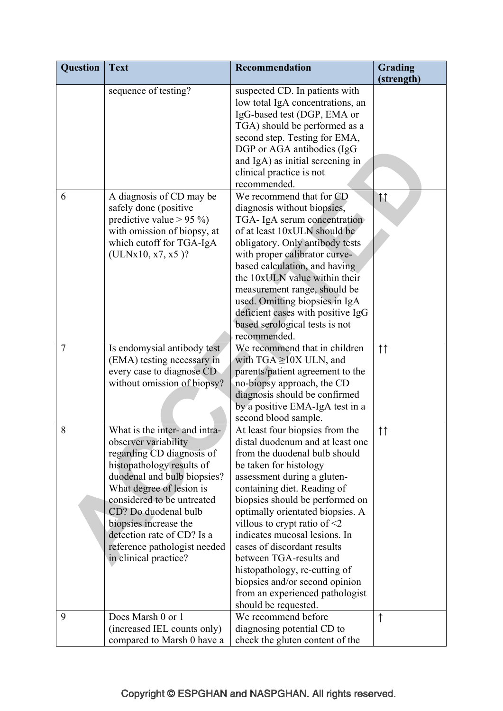| <b>Question</b> | <b>Text</b>                                                                                                                                                                                                                                                                                                                                      | <b>Recommendation</b>                                                                                                                                                                                                                                                                                                                                                                                                                                                                                                              | Grading            |
|-----------------|--------------------------------------------------------------------------------------------------------------------------------------------------------------------------------------------------------------------------------------------------------------------------------------------------------------------------------------------------|------------------------------------------------------------------------------------------------------------------------------------------------------------------------------------------------------------------------------------------------------------------------------------------------------------------------------------------------------------------------------------------------------------------------------------------------------------------------------------------------------------------------------------|--------------------|
|                 |                                                                                                                                                                                                                                                                                                                                                  |                                                                                                                                                                                                                                                                                                                                                                                                                                                                                                                                    | (strength)         |
|                 | sequence of testing?                                                                                                                                                                                                                                                                                                                             | suspected CD. In patients with<br>low total IgA concentrations, an<br>IgG-based test (DGP, EMA or<br>TGA) should be performed as a<br>second step. Testing for EMA,<br>DGP or AGA antibodies (IgG<br>and IgA) as initial screening in<br>clinical practice is not<br>recommended.                                                                                                                                                                                                                                                  |                    |
| 6               | A diagnosis of CD may be<br>safely done (positive<br>predictive value $> 95\%$ )<br>with omission of biopsy, at<br>which cutoff for TGA-IgA<br>$(ULNx10, x7, x5)$ ?                                                                                                                                                                              | We recommend that for CD<br>diagnosis without biopsies,<br>TGA- IgA serum concentration<br>of at least 10xULN should be<br>obligatory. Only antibody tests<br>with proper calibrator curve-<br>based calculation, and having<br>the 10xULN value within their<br>measurement range, should be<br>used. Omitting biopsies in IgA<br>deficient cases with positive IgG<br>based serological tests is not<br>recommended.                                                                                                             | 11                 |
| $\overline{7}$  | Is endomysial antibody test<br>(EMA) testing necessary in<br>every case to diagnose CD<br>without omission of biopsy?                                                                                                                                                                                                                            | We recommend that in children<br>with TGA $\geq$ 10X ULN, and<br>parents/patient agreement to the<br>no-biopsy approach, the CD<br>diagnosis should be confirmed<br>by a positive EMA-IgA test in a<br>second blood sample.                                                                                                                                                                                                                                                                                                        | $\uparrow\uparrow$ |
| 8               | What is the inter- and intra-<br>observer variability<br>regarding CD diagnosis of<br>histopathology results of<br>duodenal and bulb biopsies?<br>What degree of lesion is<br>considered to be untreated<br>CD? Do duodenal bulb<br>biopsies increase the<br>detection rate of CD? Is a<br>reference pathologist needed<br>in clinical practice? | At least four biopsies from the<br>distal duodenum and at least one<br>from the duodenal bulb should<br>be taken for histology<br>assessment during a gluten-<br>containing diet. Reading of<br>biopsies should be performed on<br>optimally orientated biopsies. A<br>villous to crypt ratio of $\leq 2$<br>indicates mucosal lesions. In<br>cases of discordant results<br>between TGA-results and<br>histopathology, re-cutting of<br>biopsies and/or second opinion<br>from an experienced pathologist<br>should be requested. | $\uparrow\uparrow$ |
| 9               | Does Marsh 0 or 1<br>(increased IEL counts only)<br>compared to Marsh 0 have a                                                                                                                                                                                                                                                                   | We recommend before<br>diagnosing potential CD to<br>check the gluten content of the                                                                                                                                                                                                                                                                                                                                                                                                                                               | $\uparrow$         |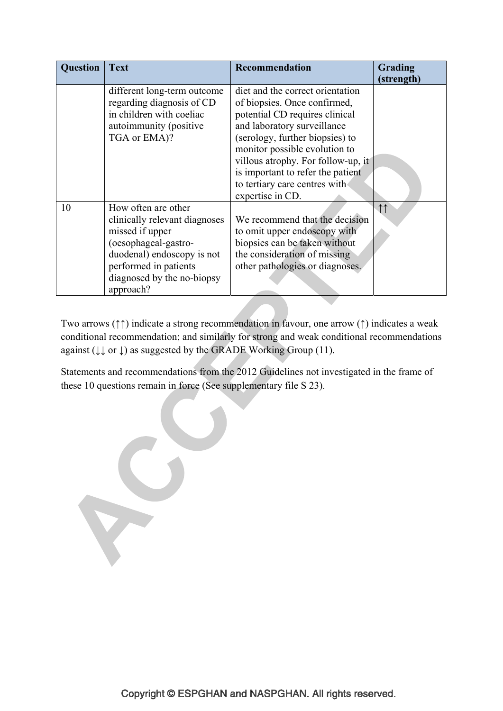| Question | <b>Text</b>                                                                                                                                                                                       | <b>Recommendation</b>                                                                                                                                                                                                                                                                                                                 | Grading<br>(strength) |
|----------|---------------------------------------------------------------------------------------------------------------------------------------------------------------------------------------------------|---------------------------------------------------------------------------------------------------------------------------------------------------------------------------------------------------------------------------------------------------------------------------------------------------------------------------------------|-----------------------|
|          | different long-term outcome<br>regarding diagnosis of CD<br>in children with coeliac<br>autoimmunity (positive<br>TGA or EMA)?                                                                    | diet and the correct orientation<br>of biopsies. Once confirmed,<br>potential CD requires clinical<br>and laboratory surveillance<br>(serology, further biopsies) to<br>monitor possible evolution to<br>villous atrophy. For follow-up, it<br>is important to refer the patient<br>to tertiary care centres with<br>expertise in CD. |                       |
| 10       | How often are other<br>clinically relevant diagnoses<br>missed if upper<br>(oesophageal-gastro-<br>duodenal) endoscopy is not<br>performed in patients<br>diagnosed by the no-biopsy<br>approach? | We recommend that the decision<br>to omit upper endoscopy with<br>biopsies can be taken without<br>the consideration of missing<br>other pathologies or diagnoses.                                                                                                                                                                    | 11                    |

Two arrows (↑↑) indicate a strong recommendation in favour, one arrow (↑) indicates a weak conditional recommendation; and similarly for strong and weak conditional recommendations against ( $\downarrow \downarrow$  or  $\downarrow$ ) as suggested by the GRADE Working Group (11).

Statements and recommendations from the 2012 Guidelines not investigated in the frame of these 10 questions remain in force (See supplementary file S 23).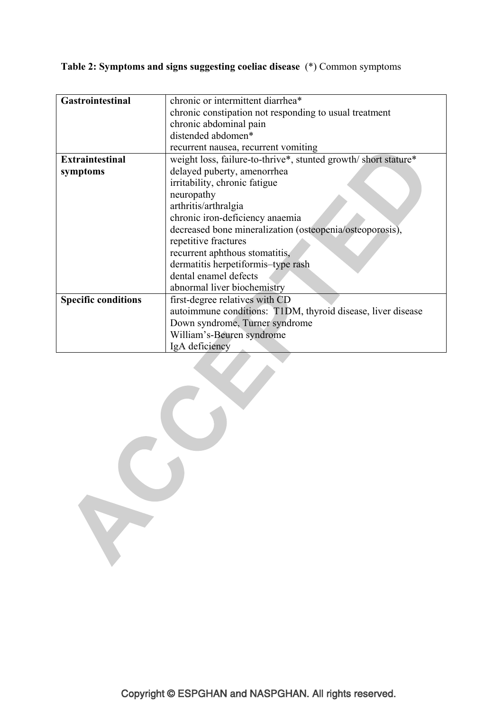**Table 2: Symptoms and signs suggesting coeliac disease** (\*) Common symptoms

| <b>Gastrointestinal</b>    | chronic or intermittent diarrhea*                              |  |  |  |
|----------------------------|----------------------------------------------------------------|--|--|--|
|                            |                                                                |  |  |  |
|                            | chronic constipation not responding to usual treatment         |  |  |  |
|                            | chronic abdominal pain                                         |  |  |  |
|                            | distended abdomen*                                             |  |  |  |
|                            | recurrent nausea, recurrent vomiting                           |  |  |  |
| <b>Extraintestinal</b>     | weight loss, failure-to-thrive*, stunted growth/short stature* |  |  |  |
| symptoms                   | delayed puberty, amenorrhea                                    |  |  |  |
|                            | irritability, chronic fatigue                                  |  |  |  |
|                            | neuropathy                                                     |  |  |  |
|                            | arthritis/arthralgia                                           |  |  |  |
|                            | chronic iron-deficiency anaemia                                |  |  |  |
|                            | decreased bone mineralization (osteopenia/osteoporosis),       |  |  |  |
|                            | repetitive fractures                                           |  |  |  |
|                            | recurrent aphthous stomatitis,                                 |  |  |  |
|                            | dermatitis herpetiformis-type rash                             |  |  |  |
|                            | dental enamel defects                                          |  |  |  |
|                            | abnormal liver biochemistry                                    |  |  |  |
| <b>Specific conditions</b> | first-degree relatives with CD                                 |  |  |  |
|                            | autoimmune conditions: T1DM, thyroid disease, liver disease    |  |  |  |
|                            | Down syndrome, Turner syndrome                                 |  |  |  |
|                            | William's-Beuren syndrome                                      |  |  |  |
|                            | IgA deficiency                                                 |  |  |  |